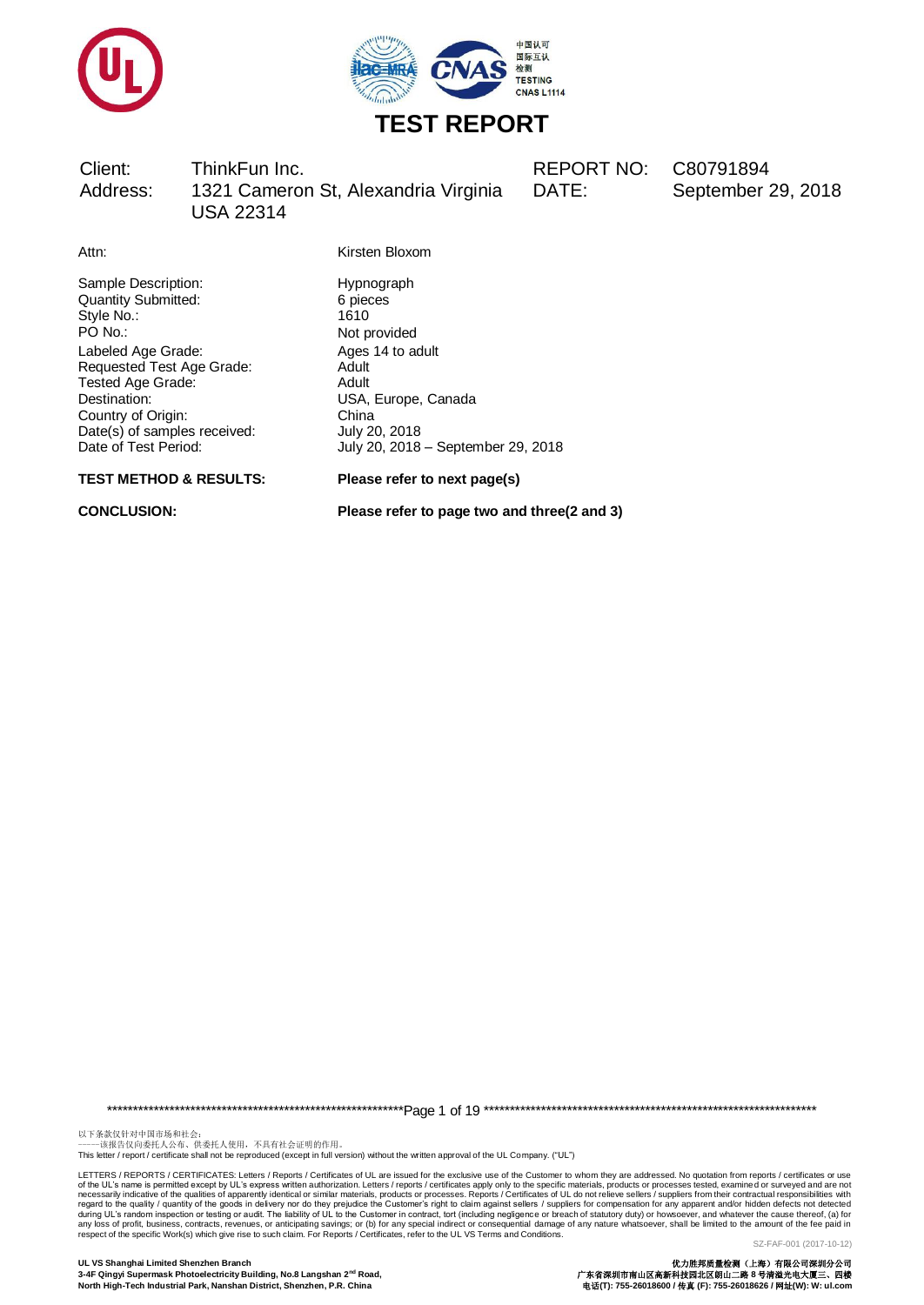



DATE: September 29, 2018

Attn: Kirsten Bloxom

Sample Description:<br>
Quantity Submitted:<br>
6 pieces Quantity Submitted: Style No.: 1610<br>PO No.: 1610<br>Not b Labeled Age Grade: 
<br>
Requested Test Age Grade: 
Adult 
Adult Requested Test Age Grade: Tested Age Grade: Adult Destination: USA, Europe, Canada Country of Origin: China<br>
Date(s) of samples received: July 20, 2018  $Date(s)$  of samples received: Date of Test Period: July 20, 2018 – September 29, 2018

Not provided

**TEST METHOD & RESULTS: Please refer to next page(s)**

**CONCLUSION: Please refer to page two and three(2 and 3)**

\*\*\*\*\*\*\*\*\*\*\*\*\*\*\*\*\*\*\*\*\*\*\*\*\*\*\*\*\*\*\*\*\*\*\*\*\*\*\*\*\*\*\*\*\*\*\*\*\*\*\*\*\*\*\*\*\*Page 1 of 19 \*\*\*\*\*\*\*\*\*\*\*\*\*\*\*\*\*\*\*\*\*\*\*\*\*\*\*\*\*\*\*\*\*\*\*\*\*\*\*\*\*\*\*\*\*\*\*\*\*\*\*\*\*\*\*\*\*\*\*\*\*\*\*\*

以下条款仅针对中国市场和社会:<br>-----该报告仅向委托人公布、供委托人使用,不具有社会证明的作用。

This letter / report / certificate shall not be reproduced (except in full version) without the written approval of the UL Company. ("UL")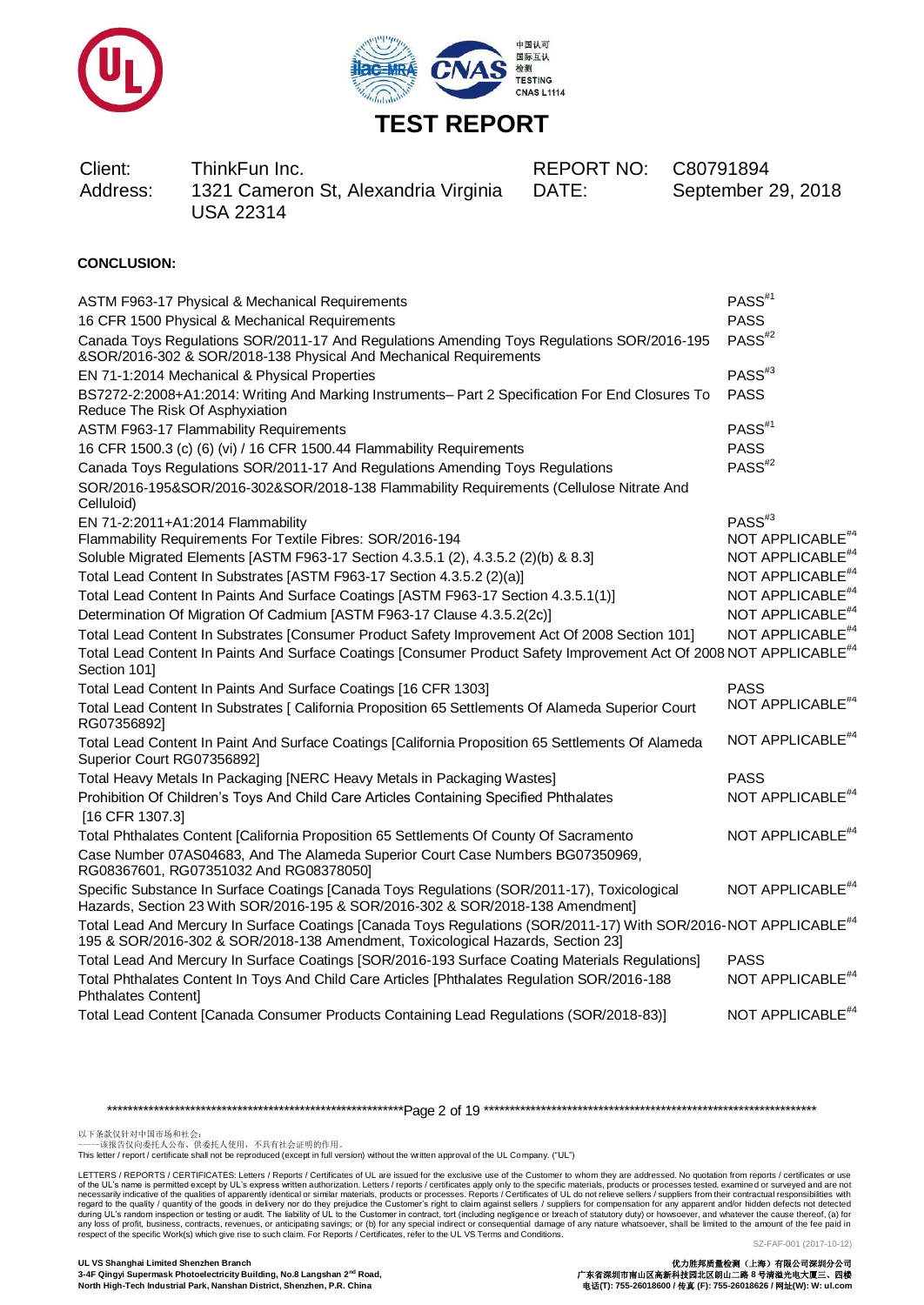



| Client:<br>Address: | ThinkFun Inc.<br>1321 Cameron St, Alexandria Virginia<br><b>USA 22314</b> | REPORT NO: C80791894<br>DATE: | September 29 |
|---------------------|---------------------------------------------------------------------------|-------------------------------|--------------|
|                     |                                                                           |                               |              |

# **CONCLUSION:**

| ASTM F963-17 Physical & Mechanical Requirements                                                                                                                                                                 | PASS <sup>#1</sup>           |
|-----------------------------------------------------------------------------------------------------------------------------------------------------------------------------------------------------------------|------------------------------|
| 16 CFR 1500 Physical & Mechanical Requirements                                                                                                                                                                  | <b>PASS</b>                  |
| Canada Toys Regulations SOR/2011-17 And Regulations Amending Toys Regulations SOR/2016-195<br>&SOR/2016-302 & SOR/2018-138 Physical And Mechanical Requirements                                                 | PASS <sup>#2</sup>           |
| EN 71-1:2014 Mechanical & Physical Properties                                                                                                                                                                   | $PASS^{#3}$                  |
| BS7272-2:2008+A1:2014: Writing And Marking Instruments- Part 2 Specification For End Closures To<br>Reduce The Risk Of Asphyxiation                                                                             | <b>PASS</b>                  |
| ASTM F963-17 Flammability Requirements                                                                                                                                                                          | PASS <sup>#1</sup>           |
| 16 CFR 1500.3 (c) (6) (vi) / 16 CFR 1500.44 Flammability Requirements                                                                                                                                           | <b>PASS</b>                  |
| Canada Toys Regulations SOR/2011-17 And Regulations Amending Toys Regulations                                                                                                                                   | PASS <sup>#2</sup>           |
| SOR/2016-195&SOR/2016-302&SOR/2018-138 Flammability Requirements (Cellulose Nitrate And<br>Celluloid)                                                                                                           |                              |
| EN 71-2:2011+A1:2014 Flammability                                                                                                                                                                               | $PASS^{#3}$                  |
| Flammability Requirements For Textile Fibres: SOR/2016-194                                                                                                                                                      | NOT APPLICABLE <sup>#4</sup> |
| Soluble Migrated Elements [ASTM F963-17 Section 4.3.5.1 (2), 4.3.5.2 (2)(b) & 8.3]                                                                                                                              | NOT APPLICABLE <sup>#4</sup> |
| Total Lead Content In Substrates [ASTM F963-17 Section 4.3.5.2 (2)(a)]                                                                                                                                          | NOT APPLICABLE <sup>#4</sup> |
| Total Lead Content In Paints And Surface Coatings [ASTM F963-17 Section 4.3.5.1(1)]                                                                                                                             | NOT APPLICABLE <sup>#4</sup> |
| Determination Of Migration Of Cadmium [ASTM F963-17 Clause 4.3.5.2(2c)]                                                                                                                                         | NOT APPLICABLE <sup>#4</sup> |
| Total Lead Content In Substrates [Consumer Product Safety Improvement Act Of 2008 Section 101]                                                                                                                  | NOT APPLICABLE <sup>#4</sup> |
| Total Lead Content In Paints And Surface Coatings [Consumer Product Safety Improvement Act Of 2008 NOT APPLICABLE <sup>#4</sup><br>Section 101]                                                                 |                              |
| Total Lead Content In Paints And Surface Coatings [16 CFR 1303]                                                                                                                                                 | <b>PASS</b>                  |
| Total Lead Content In Substrates [ California Proposition 65 Settlements Of Alameda Superior Court<br>RG07356892]                                                                                               | NOT APPLICABLE <sup>#4</sup> |
| Total Lead Content In Paint And Surface Coatings [California Proposition 65 Settlements Of Alameda<br>Superior Court RG07356892]                                                                                | NOT APPLICABLE <sup>#4</sup> |
| Total Heavy Metals In Packaging [NERC Heavy Metals in Packaging Wastes]                                                                                                                                         | <b>PASS</b>                  |
| Prohibition Of Children's Toys And Child Care Articles Containing Specified Phthalates<br>[16 CFR 1307.3]                                                                                                       | NOT APPLICABLE <sup>#4</sup> |
| Total Phthalates Content [California Proposition 65 Settlements Of County Of Sacramento                                                                                                                         | NOT APPLICABLE <sup>#4</sup> |
| Case Number 07AS04683, And The Alameda Superior Court Case Numbers BG07350969,<br>RG08367601, RG07351032 And RG08378050]                                                                                        |                              |
| Specific Substance In Surface Coatings [Canada Toys Regulations (SOR/2011-17), Toxicological<br>Hazards, Section 23 With SOR/2016-195 & SOR/2016-302 & SOR/2018-138 Amendment]                                  | NOT APPLICABLE <sup>#4</sup> |
| Total Lead And Mercury In Surface Coatings [Canada Toys Regulations (SOR/2011-17) With SOR/2016-NOT APPLICABLE <sup>#4</sup><br>195 & SOR/2016-302 & SOR/2018-138 Amendment, Toxicological Hazards, Section 23] |                              |
| Total Lead And Mercury In Surface Coatings [SOR/2016-193 Surface Coating Materials Regulations]                                                                                                                 | <b>PASS</b>                  |
| Total Phthalates Content In Toys And Child Care Articles [Phthalates Regulation SOR/2016-188<br><b>Phthalates Content]</b>                                                                                      | NOT APPLICABLE <sup>#4</sup> |
| Total Lead Content [Canada Consumer Products Containing Lead Regulations (SOR/2018-83)]                                                                                                                         | NOT APPLICABLE <sup>#4</sup> |

\*\*\*\*\*\*\*\*\*\*\*\*\*\*\*\*\*\*\*\*\*\*\*\*\*\*\*\*\*\*\*\*\*\*\*\*\*\*\*\*\*\*\*\*\*\*\*\*\*\*\*\*\*\*\*\*\*Page 2 of 19 \*\*\*\*\*\*\*\*\*\*\*\*\*\*\*\*\*\*\*\*\*\*\*\*\*\*\*\*\*\*\*\*\*\*\*\*\*\*\*\*\*\*\*\*\*\*\*\*\*\*\*\*\*\*\*\*\*\*\*\*\*\*\*\*

以下条款仅针对中国市场和社会:<br>-----该报告仅向委托人公布、供委托人使用,不具有社会证明的作用。

This letter / report / certificate shall not be reproduced (except in full version) without the written approval of the UL Company. ("UL")

LETTERS / REPORTS / CERTIFICATES: Letters / Reports / Certificates of UL are issued for the exclusive use of the Customer to whom they are addressed. No quotation from reports / certificates or use of the UL's name is permitted except by UL's express written authorization. Letters / reports / certificates apply only to the specific materials, products or processes tested, examined or surveyed and are not respective o

2018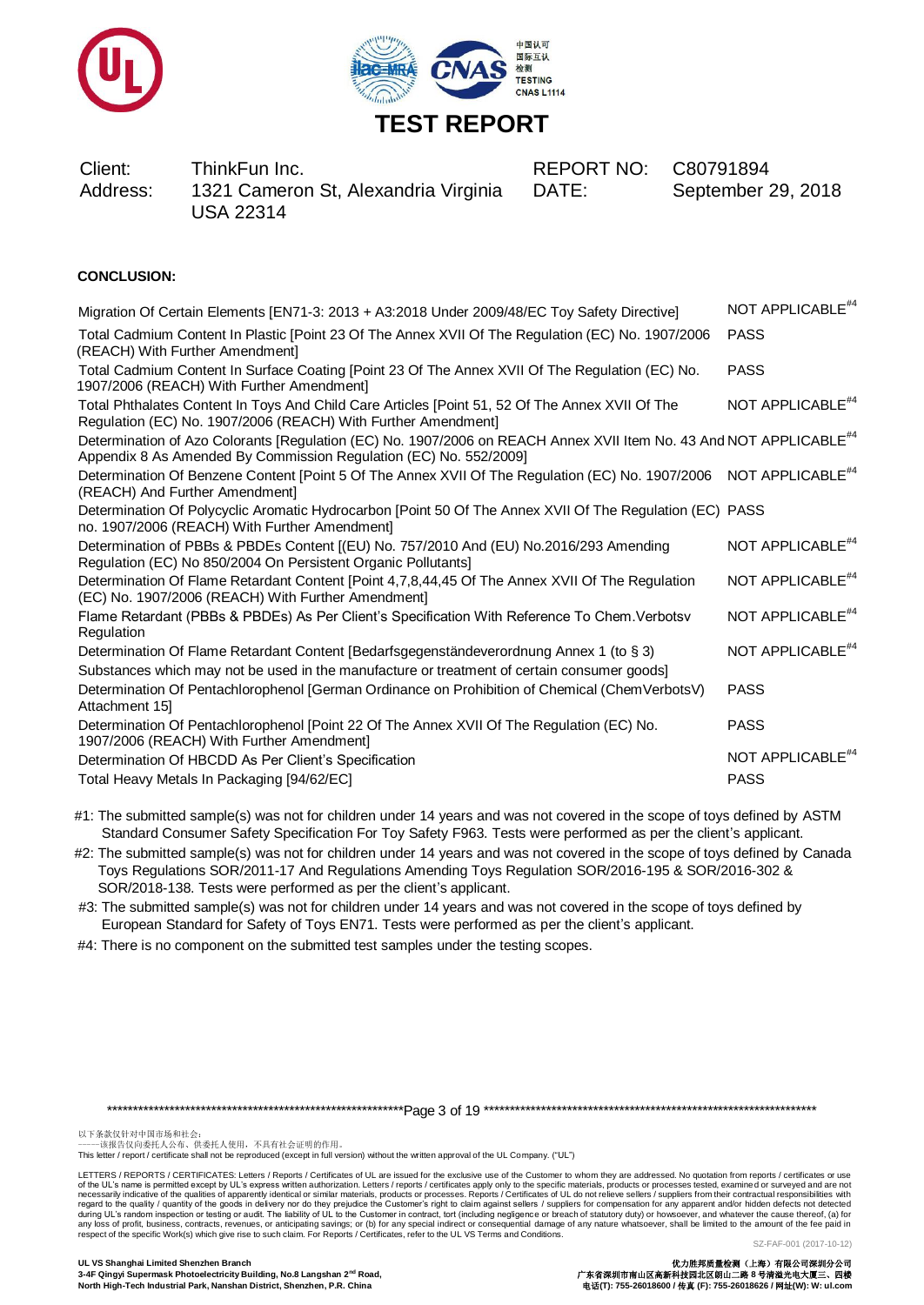



DATE: September 29, 2018

# **CONCLUSION:**

| Migration Of Certain Elements [EN71-3: 2013 + A3:2018 Under 2009/48/EC Toy Safety Directive]                                                                                                        | NOT APPLICABLE <sup>#4</sup>                |
|-----------------------------------------------------------------------------------------------------------------------------------------------------------------------------------------------------|---------------------------------------------|
| Total Cadmium Content In Plastic [Point 23 Of The Annex XVII Of The Regulation (EC) No. 1907/2006<br>(REACH) With Further Amendment]                                                                | <b>PASS</b>                                 |
| Total Cadmium Content In Surface Coating [Point 23 Of The Annex XVII Of The Regulation (EC) No.<br>1907/2006 (REACH) With Further Amendment]                                                        | <b>PASS</b>                                 |
| Total Phthalates Content In Toys And Child Care Articles [Point 51, 52 Of The Annex XVII Of The<br>Regulation (EC) No. 1907/2006 (REACH) With Further Amendment]                                    | NOT APPLICABLE <sup>#4</sup>                |
| Determination of Azo Colorants [Regulation (EC) No. 1907/2006 on REACH Annex XVII Item No. 43 And NOT APPLICABLE <sup>#4</sup><br>Appendix 8 As Amended By Commission Regulation (EC) No. 552/2009] |                                             |
| Determination Of Benzene Content [Point 5 Of The Annex XVII Of The Regulation (EC) No. 1907/2006 NOT APPLICABLE <sup>#4</sup><br>(REACH) And Further Amendment]                                     |                                             |
| Determination Of Polycyclic Aromatic Hydrocarbon [Point 50 Of The Annex XVII Of The Regulation (EC) PASS<br>no. 1907/2006 (REACH) With Further Amendment]                                           |                                             |
| Determination of PBBs & PBDEs Content [(EU) No. 757/2010 And (EU) No.2016/293 Amending<br>Regulation (EC) No 850/2004 On Persistent Organic Pollutants]                                             | NOT APPLICABLE <sup>#4</sup>                |
| Determination Of Flame Retardant Content [Point 4,7,8,44,45 Of The Annex XVII Of The Regulation<br>(EC) No. 1907/2006 (REACH) With Further Amendment]                                               | NOT APPLICABLE <sup>#4</sup>                |
| Flame Retardant (PBBs & PBDEs) As Per Client's Specification With Reference To Chem. Verbotsv<br>Regulation                                                                                         | NOT APPLICABLE <sup>#4</sup>                |
| Determination Of Flame Retardant Content [Bedarfsgegenständeverordnung Annex 1 (to § 3)<br>Substances which may not be used in the manufacture or treatment of certain consumer goods]              | NOT APPLICABLE <sup>#4</sup>                |
| Determination Of Pentachlorophenol [German Ordinance on Prohibition of Chemical (ChemVerbotsV)<br>Attachment 151                                                                                    | <b>PASS</b>                                 |
| Determination Of Pentachlorophenol [Point 22 Of The Annex XVII Of The Regulation (EC) No.<br>1907/2006 (REACH) With Further Amendment]                                                              | <b>PASS</b>                                 |
| Determination Of HBCDD As Per Client's Specification<br>Total Heavy Metals In Packaging [94/62/EC]                                                                                                  | NOT APPLICABLE <sup>#4</sup><br><b>PASS</b> |
|                                                                                                                                                                                                     |                                             |

#1: The submitted sample(s) was not for children under 14 years and was not covered in the scope of toys defined by ASTM Standard Consumer Safety Specification For Toy Safety F963. Tests were performed as per the client's applicant.

#2: The submitted sample(s) was not for children under 14 years and was not covered in the scope of toys defined by Canada Toys Regulations SOR/2011-17 And Regulations Amending Toys Regulation SOR/2016-195 & SOR/2016-302 & SOR/2018-138. Tests were performed as per the client's applicant.

 #3: The submitted sample(s) was not for children under 14 years and was not covered in the scope of toys defined by European Standard for Safety of Toys EN71. Tests were performed as per the client's applicant.

#4: There is no component on the submitted test samples under the testing scopes.

\*\*\*\*\*\*\*\*\*\*\*\*\*\*\*\*\*\*\*\*\*\*\*\*\*\*\*\*\*\*\*\*\*\*\*\*\*\*\*\*\*\*\*\*\*\*\*\*\*\*\*\*\*\*\*\*\*Page 3 of 19 \*\*\*\*\*\*\*\*\*\*\*\*\*\*\*\*\*\*\*\*\*\*\*\*\*\*\*\*\*\*\*\*\*\*\*\*\*\*\*\*\*\*\*\*\*\*\*\*\*\*\*\*\*\*\*\*\*\*\*\*\*\*\*\*

以下条款仅针对中国市场和社会:<br>-----该报告仅向委托人公布、供委托人使用,不具有社会证明的作用。

LETTERS / REPORTS / CERTIFICATES: Letters / Reports / Certificates of UL are issued for the exclusive use of the Customer to whom they are addressed. No quotation from reports / certificates or use<br>of the UL's name is perm of the UL's name is permitted except by UL's express written authorization. Letters / reports / certificates apply only to the specific materials, products or processes tested, examine d or surveyed and are not respecifica

out a symmal particular the state of the state of the state of the state of the state of the state of the state of the state of the state of the state of the state of the state of the state of the state of the state of th

This letter / report / certificate shall not be reproduced (except in full version) without the written approval of the UL Company. ("UL")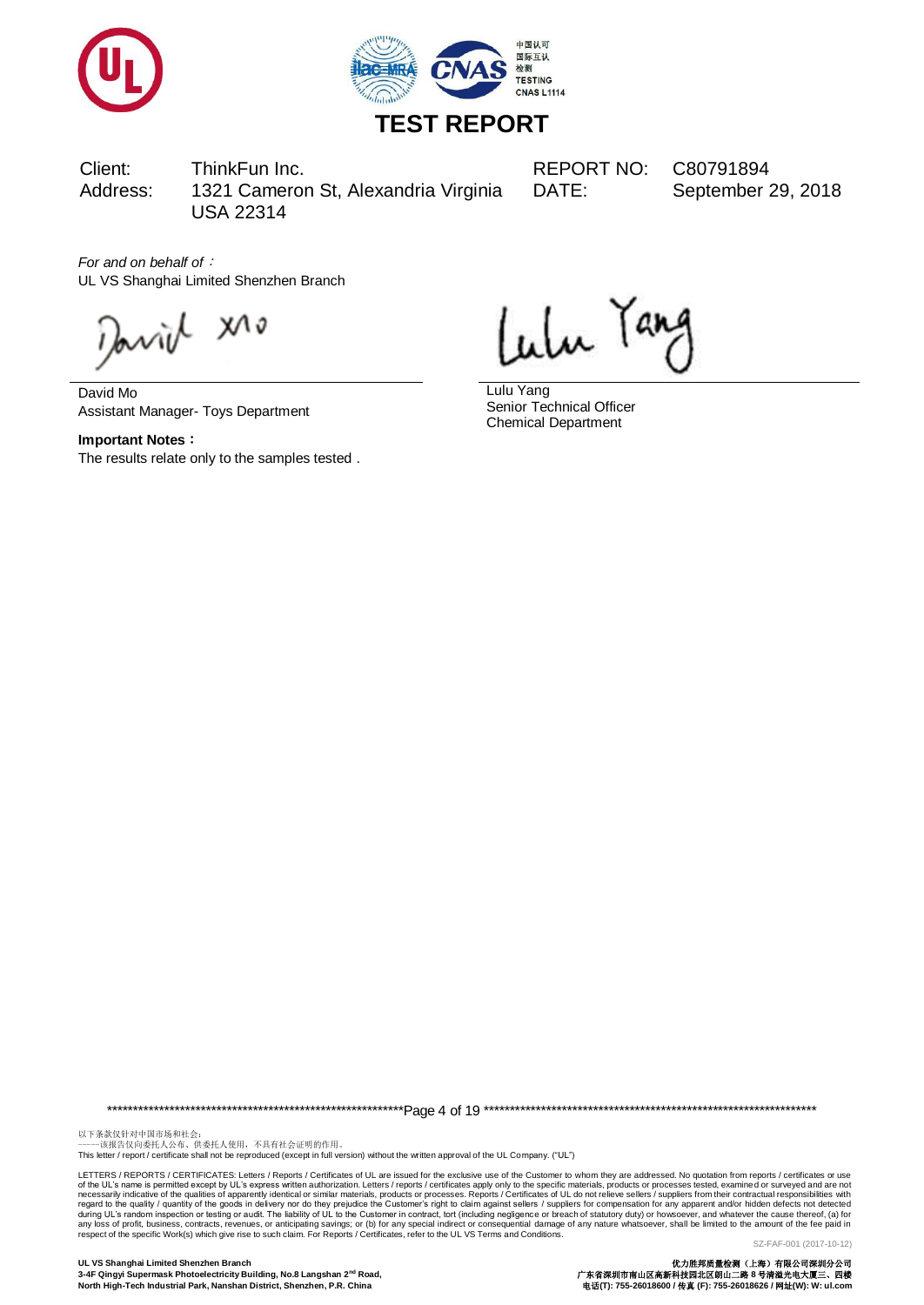



DATE: September 29, 2018

*For and on behalf of*: UL VS Shanghai Limited Shenzhen Branch

arriel xro

David Mo Assistant Manager- Toys Department

**Important Notes**: The results relate only to the samples tested .

Lulu Tang

Lulu Yang Senior Technical Officer Chemical Department

\*\*\*\*\*\*\*\*\*\*\*\*\*\*\*\*\*\*\*\*\*\*\*\*\*\*\*\*\*\*\*\*\*\*\*\*\*\*\*\*\*\*\*\*\*\*\*\*\*\*\*\*\*\*\*\*\*Page 4 of 19 \*\*\*\*\*\*\*\*\*\*\*\*\*\*\*\*\*\*\*\*\*\*\*\*\*\*\*\*\*\*\*\*\*\*\*\*\*\*\*\*\*\*\*\*\*\*\*\*\*\*\*\*\*\*\*\*\*\*\*\*\*\*\*\*

以下条款仅针对中国市场和社会:<br>-----该报告仅向委托人公布、供委托人使用,不具有社会证明的作用。

This letter / report / certificate shall not be reproduced (except in full version) without the written approval of the UL Company. ("UL")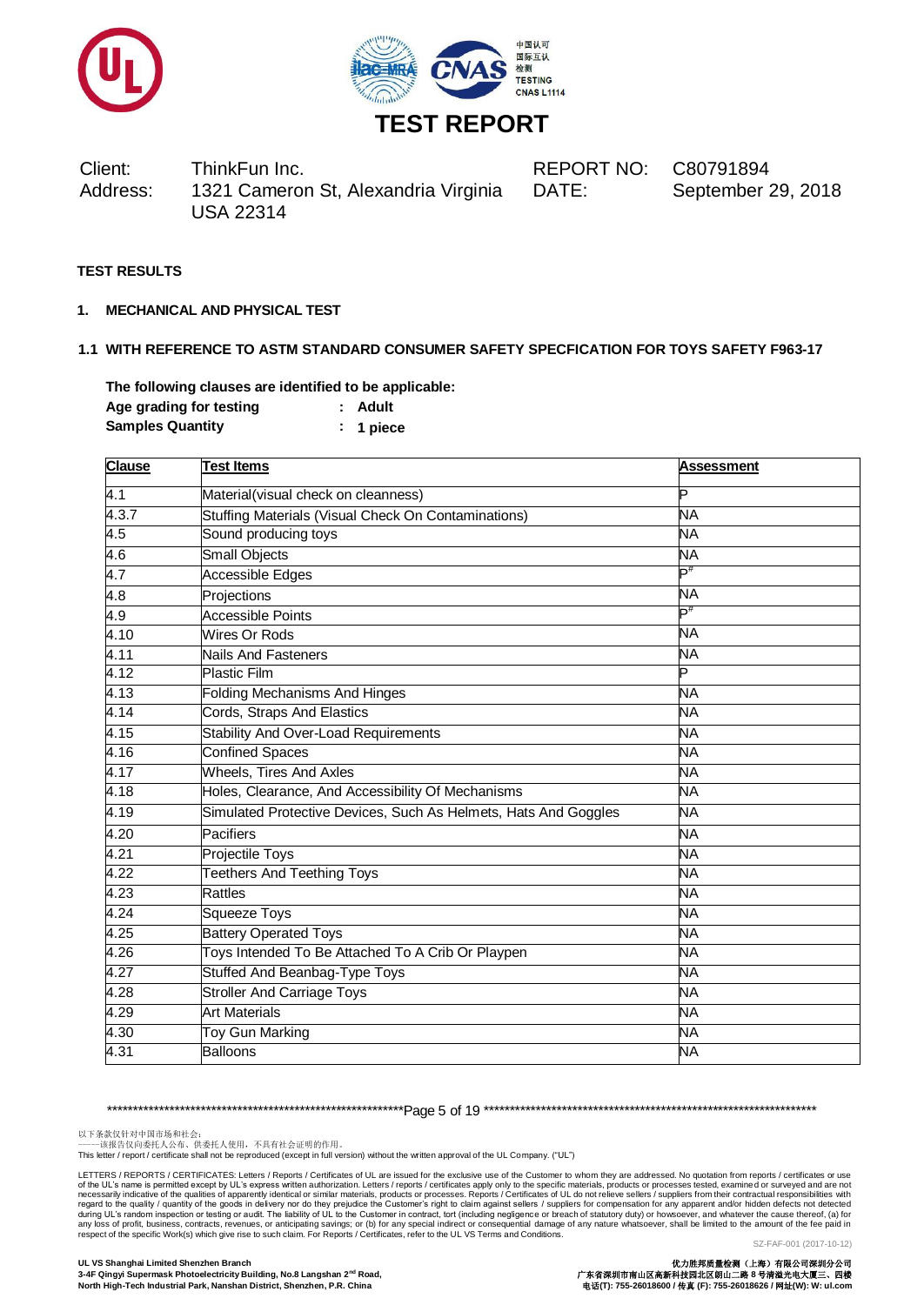



DATE: September 29, 2018

# **TEST RESULTS**

**1. MECHANICAL AND PHYSICAL TEST**

# **1.1 WITH REFERENCE TO ASTM STANDARD CONSUMER SAFETY SPECFICATION FOR TOYS SAFETY F963-17**

**The following clauses are identified to be applicable: Age grading for testing : Adult Samples Quantity : 1 piece**

| <b>Clause</b>    | <b>Test Items</b>                                               | <b>Assessment</b> |
|------------------|-----------------------------------------------------------------|-------------------|
| 4.1              | Material(visual check on cleanness)                             | Þ                 |
| 4.3.7            | Stuffing Materials (Visual Check On Contaminations)             | <b>NA</b>         |
| 4.5              | Sound producing toys                                            | NΑ                |
| 4.6              | <b>Small Objects</b>                                            | <b>NA</b>         |
| 4.7              | Accessible Edges                                                | $\mathsf{P}^\#$   |
| 4.8              | Projections                                                     | <b>NA</b>         |
| $\overline{4.9}$ | <b>Accessible Points</b>                                        | D#                |
| 4.10             | Wires Or Rods                                                   | <b>NA</b>         |
| 4.11             | <b>Nails And Fasteners</b>                                      | <b>NA</b>         |
| 4.12             | <b>Plastic Film</b>                                             | Þ                 |
| 4.13             | <b>Folding Mechanisms And Hinges</b>                            | <b>NA</b>         |
| 4.14             | Cords, Straps And Elastics                                      | NΑ                |
| 4.15             | <b>Stability And Over-Load Requirements</b>                     | <b>NA</b>         |
| 4.16             | <b>Confined Spaces</b>                                          | NA                |
| 4.17             | <b>Wheels, Tires And Axles</b>                                  | <b>NA</b>         |
| 4.18             | Holes, Clearance, And Accessibility Of Mechanisms               | <b>NA</b>         |
| 4.19             | Simulated Protective Devices, Such As Helmets, Hats And Goggles | <b>NA</b>         |
| 4.20             | Pacifiers                                                       | <b>NA</b>         |
| 4.21             | Projectile Toys                                                 | <b>NA</b>         |
| 4.22             | <b>Teethers And Teething Toys</b>                               | NA                |
| 4.23             | Rattles                                                         | <b>NA</b>         |
| 4.24             | <b>Squeeze Toys</b>                                             | <b>NA</b>         |
| 4.25             | <b>Battery Operated Toys</b>                                    | <b>NA</b>         |
| 4.26             | Toys Intended To Be Attached To A Crib Or Playpen               | <b>NA</b>         |
| 4.27             | <b>Stuffed And Beanbag-Type Toys</b>                            | NA                |
| 4.28             | <b>Stroller And Carriage Toys</b>                               | <b>NA</b>         |
| 4.29             | <b>Art Materials</b>                                            | <b>NA</b>         |
| 4.30             | Toy Gun Marking                                                 | <b>NA</b>         |
| 4.31             | <b>Balloons</b>                                                 | <b>NA</b>         |

\*\*\*\*\*\*\*\*\*\*\*\*\*\*\*\*\*\*\*\*\*\*\*\*\*\*\*\*\*\*\*\*\*\*\*\*\*\*\*\*\*\*\*\*\*\*\*\*\*\*\*\*\*\*\*\*\*Page 5 of 19 \*\*\*\*\*\*\*\*\*\*\*\*\*\*\*\*\*\*\*\*\*\*\*\*\*\*\*\*\*\*\*\*\*\*\*\*\*\*\*\*\*\*\*\*\*\*\*\*\*\*\*\*\*\*\*\*\*\*\*\*\*\*\*\*

以下条款仅针对中国市场和社会:<br>-----该报告仅向委托人公布、供委托人使用,不具有社会证明的作用。

This letter / report / certificate shall not be reproduced (except in full version) without the written approval of the UL Company. ("UL")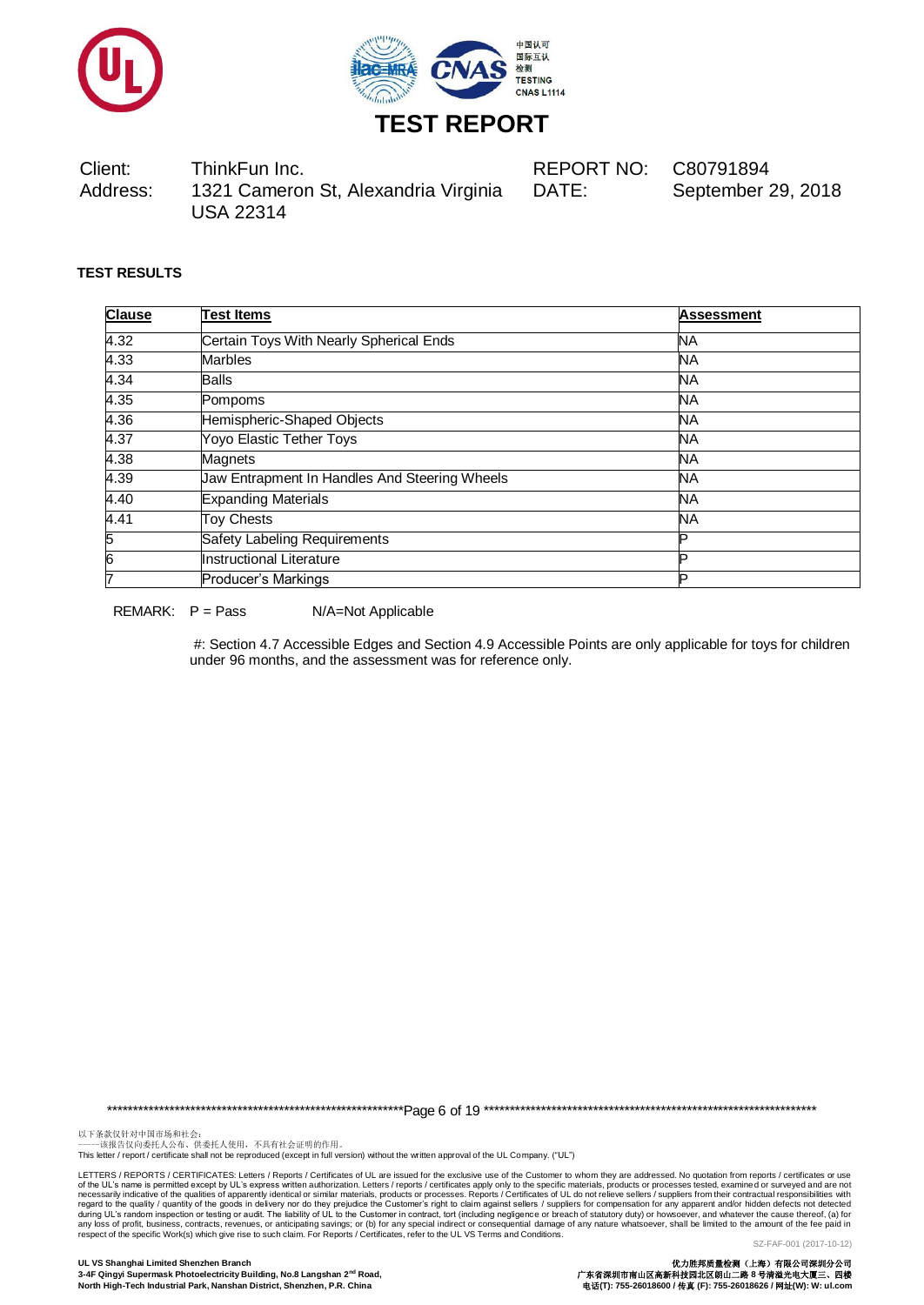



Client: ThinkFun Inc. REPORT NO: C80791894 Address: 1321 Cameron St, Alexandria Virginia USA 22314 DATE: September 29, 2018

**TEST RESULTS**

| <b>Clause</b> | <b>Test Items</b>                             | <b>Assessment</b> |
|---------------|-----------------------------------------------|-------------------|
| 4.32          | Certain Toys With Nearly Spherical Ends       | <b>NA</b>         |
| 4.33          | <b>Marbles</b>                                | NA.               |
| 4.34          | <b>Balls</b>                                  | <b>NA</b>         |
| 4.35          | Pompoms                                       | NA.               |
| 4.36          | Hemispheric-Shaped Objects                    | <b>NA</b>         |
| 4.37          | Yoyo Elastic Tether Toys                      | <b>NA</b>         |
| 4.38          | <b>Magnets</b>                                | <b>NA</b>         |
| 4.39          | Jaw Entrapment In Handles And Steering Wheels | <b>NA</b>         |
| 4.40          | <b>Expanding Materials</b>                    | <b>NA</b>         |
| 4.41          | <b>Toy Chests</b>                             | <b>NA</b>         |
| 5             | Safety Labeling Requirements                  | D                 |
| 6             | Instructional Literature                      | ם                 |
|               | Producer's Markings                           | D                 |

REMARK:  $P = Pass$   $N/A = Not Applicable$ 

#: Section 4.7 Accessible Edges and Section 4.9 Accessible Points are only applicable for toys for children under 96 months, and the assessment was for reference only.

\*\*\*\*\*\*\*\*\*\*\*\*\*\*\*\*\*\*\*\*\*\*\*\*\*\*\*\*\*\*\*\*\*\*\*\*\*\*\*\*\*\*\*\*\*\*\*\*\*\*\*\*\*\*\*\*\*Page 6 of 19 \*\*\*\*\*\*\*\*\*\*\*\*\*\*\*\*\*\*\*\*\*\*\*\*\*\*\*\*\*\*\*\*\*\*\*\*\*\*\*\*\*\*\*\*\*\*\*\*\*\*\*\*\*\*\*\*\*\*\*\*\*\*\*\*

以下条款仅针对中国市场和社会:<br>-----该报告仅向委托人公布、供委托人使用,不具有社会证明的作用。

This letter / report / certificate shall not be reproduced (except in full version) without the written approval of the UL Company. ("UL")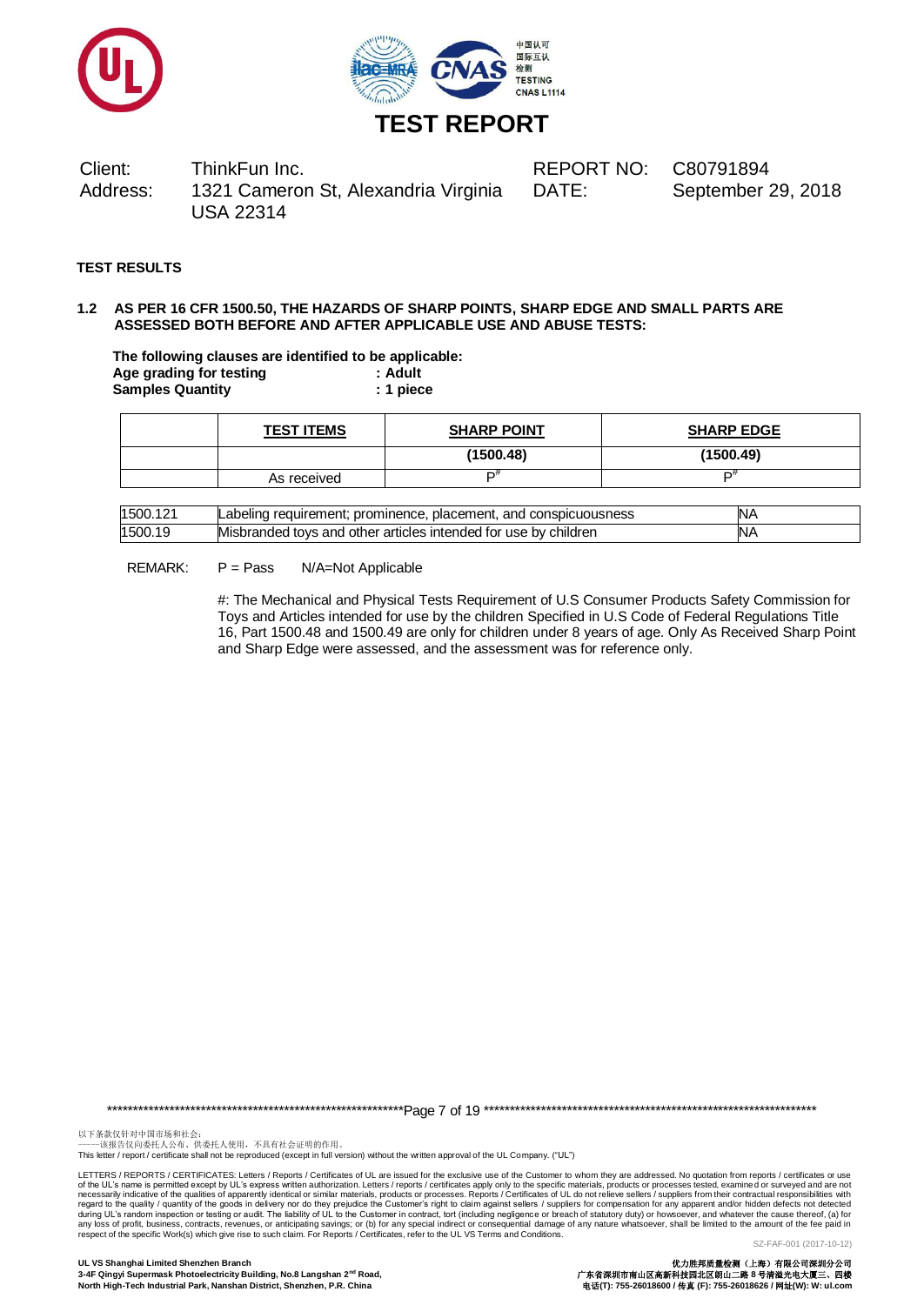



# **TEST REPORT**

Client: ThinkFun Inc. REPORT NO: C80791894 Address: 1321 Cameron St, Alexandria Virginia USA 22314 DATE: September 29, 2018

# **TEST RESULTS**

### **1.2 AS PER 16 CFR 1500.50, THE HAZARDS OF SHARP POINTS, SHARP EDGE AND SMALL PARTS ARE ASSESSED BOTH BEFORE AND AFTER APPLICABLE USE AND ABUSE TESTS:**

**The following clauses are identified to be applicable: Age grading for testing : Adult Samples Quantity : 1 piece**

| <b>TEST ITEMS</b> | <b>SHARP POINT</b> | <b>SHARP EDGE</b> |
|-------------------|--------------------|-------------------|
|                   | (1500.48)          | (1500.49)         |
| As received       | m#                 | r#                |

| 1500.121 | : prominence. placement.<br>, and conspicuousness<br>requirement:<br>Labelind | IN۶ |
|----------|-------------------------------------------------------------------------------|-----|
| 1500.19  | Misbranded tovs and other articles intended for use by children               | N۶  |

#### REMARK: P = Pass N/A=Not Applicable

#: The Mechanical and Physical Tests Requirement of U.S Consumer Products Safety Commission for Toys and Articles intended for use by the children Specified in U.S Code of Federal Regulations Title 16, Part 1500.48 and 1500.49 are only for children under 8 years of age. Only As Received Sharp Point and Sharp Edge were assessed, and the assessment was for reference only.

\*\*\*\*\*\*\*\*\*\*\*\*\*\*\*\*\*\*\*\*\*\*\*\*\*\*\*\*\*\*\*\*\*\*\*\*\*\*\*\*\*\*\*\*\*\*\*\*\*\*\*\*\*\*\*\*\*Page 7 of 19 \*\*\*\*\*\*\*\*\*\*\*\*\*\*\*\*\*\*\*\*\*\*\*\*\*\*\*\*\*\*\*\*\*\*\*\*\*\*\*\*\*\*\*\*\*\*\*\*\*\*\*\*\*\*\*\*\*\*\*\*\*\*\*\*

以下条款仅针对中国市场和社会:<br>-----该报告仅向委托人公布、供委托人使用,不具有社会证明的作用。

This letter / report / certificate shall not be reproduced (except in full version) without the written approval of the UL Company. ("UL")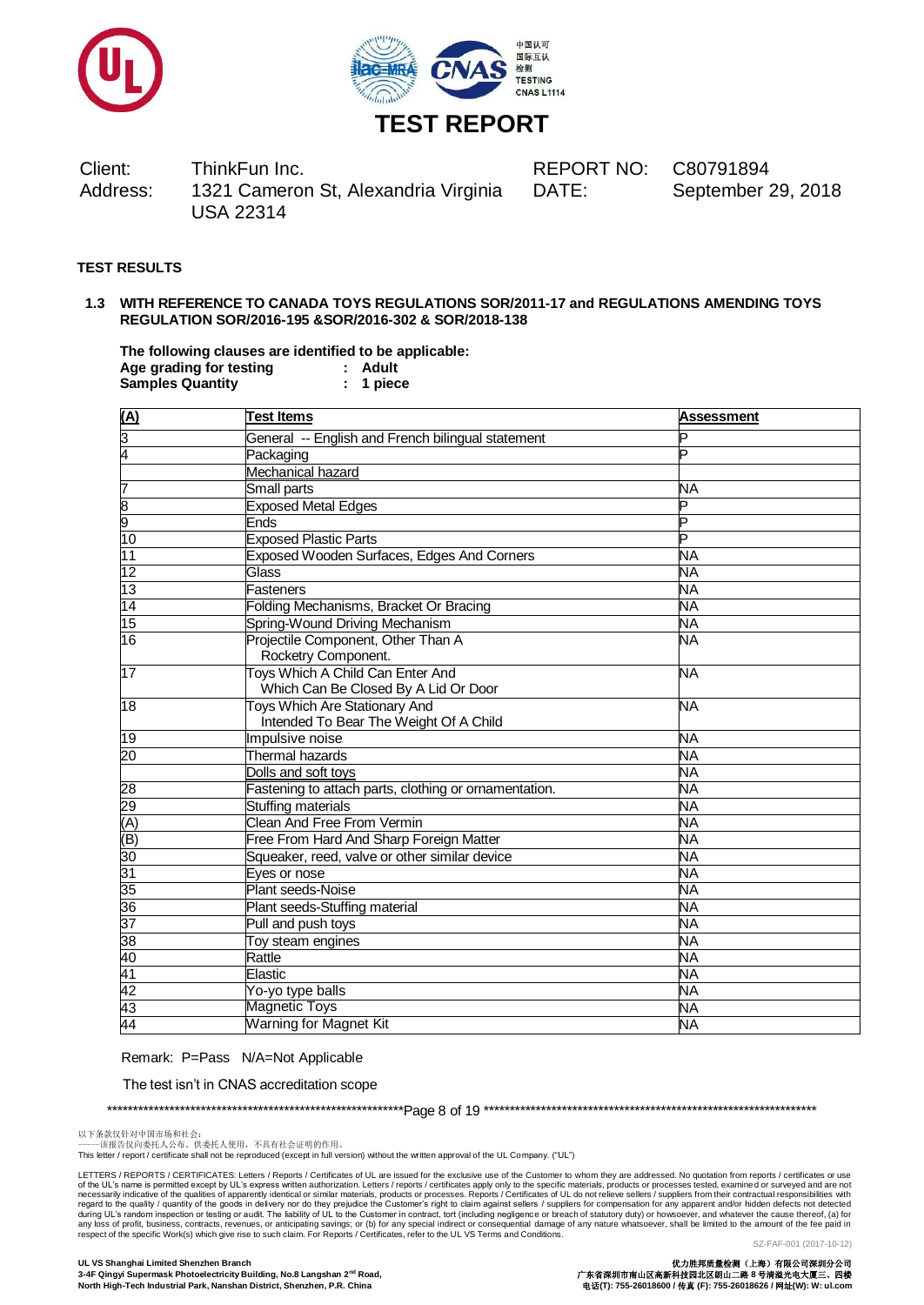



# **TEST REPORT**

Client: ThinkFun Inc. REPORT NO: C80791894 Address: 1321 Cameron St, Alexandria Virginia USA 22314

DATE: September 29, 2018

# **TEST RESULTS**

#### **1.3 WITH REFERENCE TO CANADA TOYS REGULATIONS SOR/2011-17 and REGULATIONS AMENDING TOYS REGULATION SOR/2016-195 &SOR/2016-302 & SOR/2018-138**

**The following clauses are identified to be applicable: Age grading for testing : Adult**  $S$ amples Quantity

| $\frac{A}{3}$<br>$\frac{3}{4}$        | <b>Test Items</b>                                                        | <b>Assessment</b> |
|---------------------------------------|--------------------------------------------------------------------------|-------------------|
|                                       | General -- English and French bilingual statement                        | P                 |
|                                       | Packaging                                                                | D                 |
|                                       | Mechanical hazard                                                        |                   |
|                                       | <b>Small parts</b>                                                       | NA                |
| $\frac{7}{9}$ $\frac{8}{10}$          | <b>Exposed Metal Edges</b>                                               | Þ                 |
|                                       | <b>Ends</b>                                                              | D                 |
|                                       | <b>Exposed Plastic Parts</b>                                             | P                 |
| $\frac{11}{12}$                       | Exposed Wooden Surfaces, Edges And Corners                               | <b>NA</b>         |
|                                       | Glass                                                                    | NĀ                |
| $\overline{13}$                       | Fasteners                                                                | ΝA                |
| $\frac{15}{14}$<br>$\frac{15}{16}$    | Folding Mechanisms, Bracket Or Bracing                                   | ΝA                |
|                                       | Spring-Wound Driving Mechanism                                           | NΑ                |
|                                       | Projectile Component, Other Than A<br>Rocketry Component.                | NΑ                |
| 17                                    | Toys Which A Child Can Enter And<br>Which Can Be Closed By A Lid Or Door | <b>NA</b>         |
| $\overline{18}$                       | Toys Which Are Stationary And<br>Intended To Bear The Weight Of A Child  | NΑ                |
| 19                                    | Impulsive noise                                                          | <b>NA</b>         |
| $\overline{20}$                       | <b>Thermal hazards</b>                                                   | <b>NA</b>         |
|                                       | Dolls and soft toys                                                      | <b>NA</b>         |
|                                       | Fastening to attach parts, clothing or ornamentation.                    | NA                |
|                                       | Stuffing materials                                                       | <b>NA</b>         |
|                                       | <b>Clean And Free From Vermin</b>                                        | <b>NA</b>         |
|                                       | Free From Hard And Sharp Foreign Matter                                  | NΑ                |
|                                       | Squeaker, reed, valve or other similar device                            | NA                |
|                                       | Eyes or nose                                                             | NA                |
|                                       | <b>Plant seeds-Noise</b>                                                 | ΝA                |
|                                       | Plant seeds-Stuffing material                                            | NΑ                |
|                                       | Pull and push toys                                                       | NΑ                |
|                                       | Toy steam engines                                                        | NA                |
|                                       | Rattle                                                                   | NΑ                |
| 28 29 (A) (B) 30 31 35 36 37 38 40 41 | Elastic                                                                  | NΑ                |
| 42                                    | Yo-yo type balls                                                         | NA                |
| 43                                    | Magnetic Toys                                                            | <b>NA</b>         |
| 44                                    | Warning for Magnet Kit                                                   | <b>NA</b>         |

Remark: P=Pass N/A=Not Applicable

The test isn't in CNAS accreditation scope

\*\*\*\*\*\*\*\*\*\*\*\*\*\*\*\*\*\*\*\*\*\*\*\*\*\*\*\*\*\*\*\*\*\*\*\*\*\*\*\*\*\*\*\*\*\*\*\*\*\*\*\*\*\*\*\*\*Page 8 of 19 \*\*\*\*\*\*\*\*\*\*\*\*\*\*\*\*\*\*\*\*\*\*\*\*\*\*\*\*\*\*\*\*\*\*\*\*\*\*\*\*\*\*\*\*\*\*\*\*\*\*\*\*\*\*\*\*\*\*\*\*\*\*\*\*

以下条款仅针对中国市场和社会:<br>-----该报告仅向委托人公布、供委托人使用,不具有社会证明的作用。

This letter / report / certificate shall not be reproduced (except in full version) without the written approval of the UL Company. ("UL")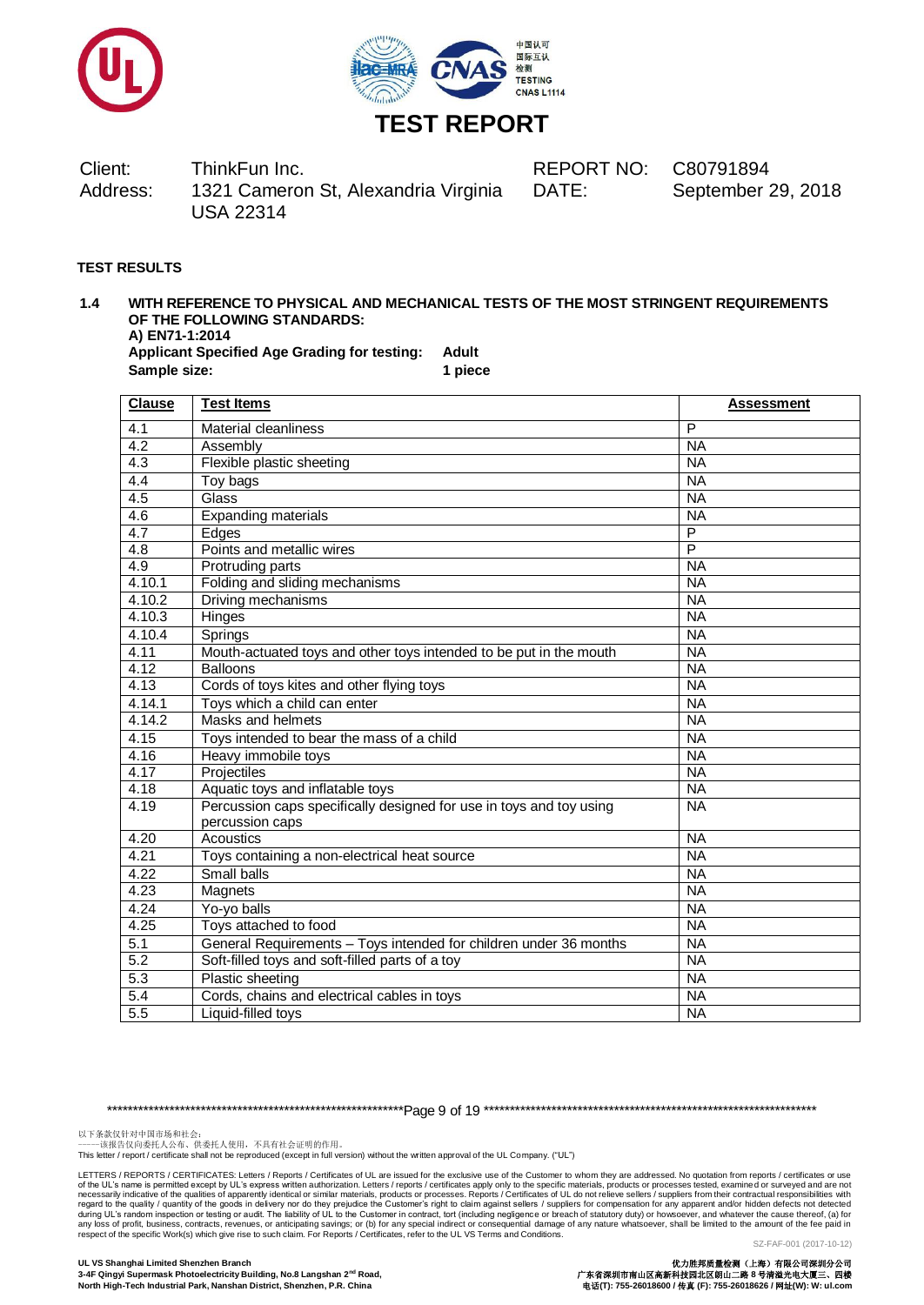



DATE: September 29, 2018

# **TEST RESULTS**

# **1.4 WITH REFERENCE TO PHYSICAL AND MECHANICAL TESTS OF THE MOST STRINGENT REQUIREMENTS OF THE FOLLOWING STANDARDS: A) EN71-1:2014**

**Applicant Specified Age Grading for testing: Adult Sample size: 1 piece**

| <b>Clause</b>    | <b>Test Items</b>                                                   | <b>Assessment</b> |
|------------------|---------------------------------------------------------------------|-------------------|
| 4.1              | Material cleanliness                                                | P                 |
| 4.2              | Assembly                                                            | <b>NA</b>         |
| $\overline{4.3}$ | Flexible plastic sheeting                                           | <b>NA</b>         |
| 4.4              | Toy bags                                                            | <b>NA</b>         |
| 4.5              | Glass                                                               | <b>NA</b>         |
| $4.\overline{6}$ | Expanding materials                                                 | <b>NA</b>         |
| 4.7              | Edges                                                               | P                 |
| 4.8              | Points and metallic wires                                           | $\overline{P}$    |
| 4.9              | Protruding parts                                                    | <b>NA</b>         |
| 4.10.1           | Folding and sliding mechanisms                                      | <b>NA</b>         |
| 4.10.2           | Driving mechanisms                                                  | <b>NA</b>         |
| 4.10.3           | Hinges                                                              | <b>NA</b>         |
| 4.10.4           | Springs                                                             | <b>NA</b>         |
| 4.11             | Mouth-actuated toys and other toys intended to be put in the mouth  | <b>NA</b>         |
| 4.12             | <b>Balloons</b>                                                     | <b>NA</b>         |
| 4.13             | Cords of toys kites and other flying toys                           | <b>NA</b>         |
| 4.14.1           | Toys which a child can enter                                        | <b>NA</b>         |
| 4.14.2           | Masks and helmets                                                   | <b>NA</b>         |
| 4.15             | Toys intended to bear the mass of a child                           | <b>NA</b>         |
| 4.16             | Heavy immobile toys                                                 | <b>NA</b>         |
| 4.17             | Projectiles                                                         | <b>NA</b>         |
| 4.18             | Aquatic toys and inflatable toys                                    | <b>NA</b>         |
| 4.19             | Percussion caps specifically designed for use in toys and toy using | <b>NA</b>         |
|                  | percussion caps                                                     |                   |
| 4.20             | Acoustics                                                           | <b>NA</b>         |
| 4.21             | Toys containing a non-electrical heat source                        | <b>NA</b>         |
| 4.22             | Small balls                                                         | <b>NA</b>         |
| 4.23             | Magnets                                                             | <b>NA</b>         |
| 4.24             | Yo-yo balls                                                         | <b>NA</b>         |
| 4.25             | Toys attached to food                                               | <b>NA</b>         |
| 5.1              | General Requirements - Toys intended for children under 36 months   | <b>NA</b>         |
| 5.2              | Soft-filled toys and soft-filled parts of a toy                     | <b>NA</b>         |
| 5.3              | Plastic sheeting                                                    | <b>NA</b>         |
| 5.4              | Cords, chains and electrical cables in toys                         | <b>NA</b>         |
| 5.5              | Liquid-filled toys                                                  | <b>NA</b>         |

\*\*\*\*\*\*\*\*\*\*\*\*\*\*\*\*\*\*\*\*\*\*\*\*\*\*\*\*\*\*\*\*\*\*\*\*\*\*\*\*\*\*\*\*\*\*\*\*\*\*\*\*\*\*\*\*\*Page 9 of 19 \*\*\*\*\*\*\*\*\*\*\*\*\*\*\*\*\*\*\*\*\*\*\*\*\*\*\*\*\*\*\*\*\*\*\*\*\*\*\*\*\*\*\*\*\*\*\*\*\*\*\*\*\*\*\*\*\*\*\*\*\*\*\*\*

以下条款仅针对中国市场和社会:<br>-----该报告仅向委托人公布、供委托人使用,不具有社会证明的作用。

This letter / report / certificate shall not be reproduced (except in full version) without the written approval of the UL Company. ("UL")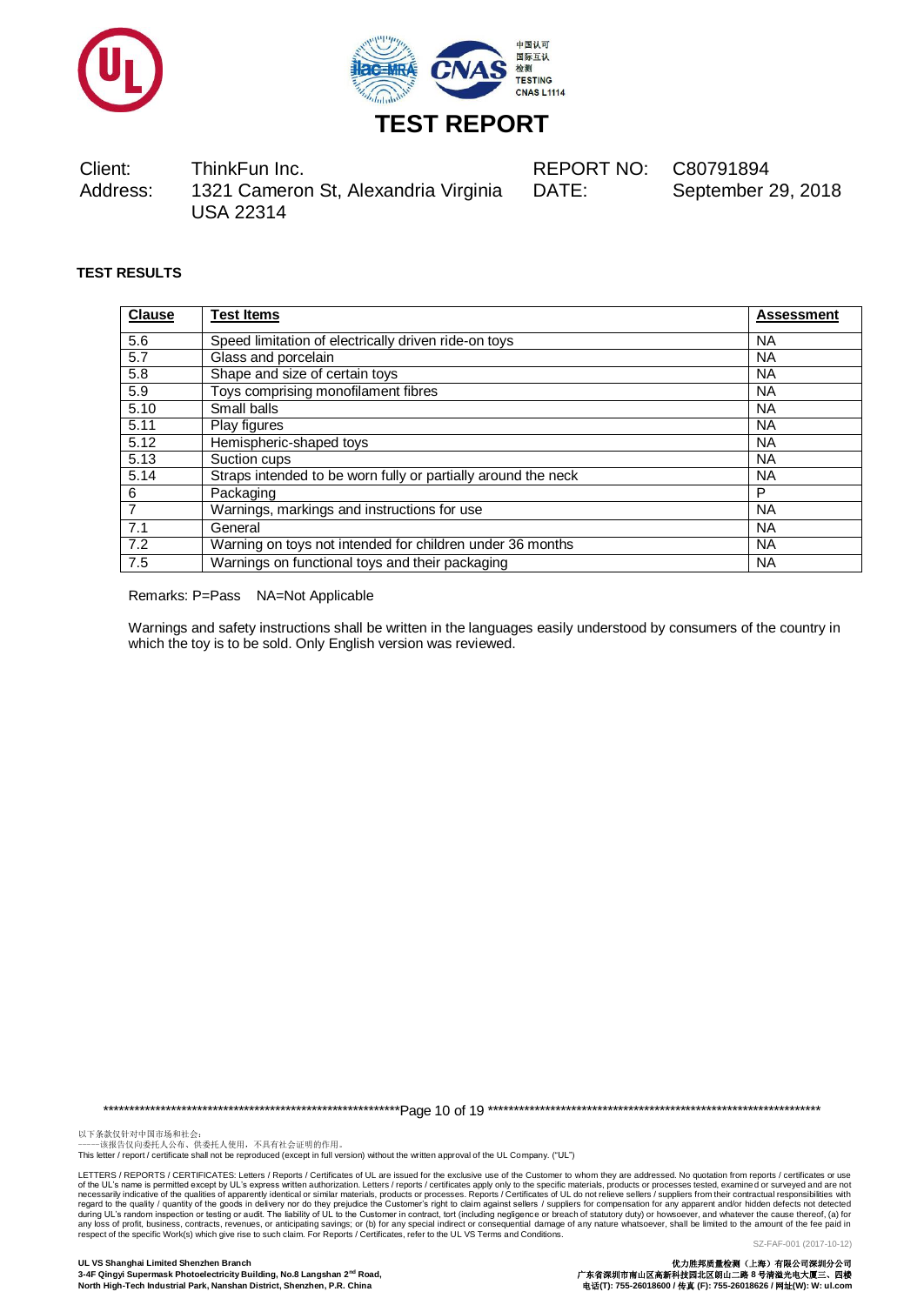



DATE: September 29, 2018

# **TEST RESULTS**

| <b>Clause</b> | <b>Test Items</b>                                             | <b>Assessment</b> |
|---------------|---------------------------------------------------------------|-------------------|
| 5.6           | Speed limitation of electrically driven ride-on toys          | <b>NA</b>         |
| 5.7           | Glass and porcelain                                           | <b>NA</b>         |
| 5.8           | Shape and size of certain toys                                | <b>NA</b>         |
| 5.9           | Toys comprising monofilament fibres                           | <b>NA</b>         |
| 5.10          | Small balls                                                   | <b>NA</b>         |
| 5.11          | Play figures                                                  | <b>NA</b>         |
| 5.12          | Hemispheric-shaped toys                                       | <b>NA</b>         |
| 5.13          | Suction cups                                                  | <b>NA</b>         |
| 5.14          | Straps intended to be worn fully or partially around the neck | <b>NA</b>         |
| 6             | Packaging                                                     | P                 |
| 7             | Warnings, markings and instructions for use                   | <b>NA</b>         |
| 7.1           | General                                                       | <b>NA</b>         |
| 7.2           | Warning on toys not intended for children under 36 months     | <b>NA</b>         |
| 7.5           | Warnings on functional toys and their packaging               | <b>NA</b>         |

Remarks: P=Pass NA=Not Applicable

Warnings and safety instructions shall be written in the languages easily understood by consumers of the country in which the toy is to be sold. Only English version was reviewed.

\*\*\*\*\*\*\*\*\*\*\*\*\*\*\*\*\*\*\*\*\*\*\*\*\*\*\*\*\*\*\*\*\*\*\*\*\*\*\*\*\*\*\*\*\*\*\*\*\*\*\*\*\*\*\*\*\*Page 10 of 19 \*\*\*\*\*\*\*\*\*\*\*\*\*\*\*\*\*\*\*\*\*\*\*\*\*\*\*\*\*\*\*\*\*\*\*\*\*\*\*\*\*\*\*\*\*\*\*\*\*\*\*\*\*\*\*\*\*\*\*\*\*\*\*\*

以下条款仅针对中国市场和社会:<br>-----该报告仅向委托人公布、供委托人使用,不具有社会证明的作用。

This letter / report / certificate shall not be reproduced (except in full version) without the written approval of the UL Company. ("UL")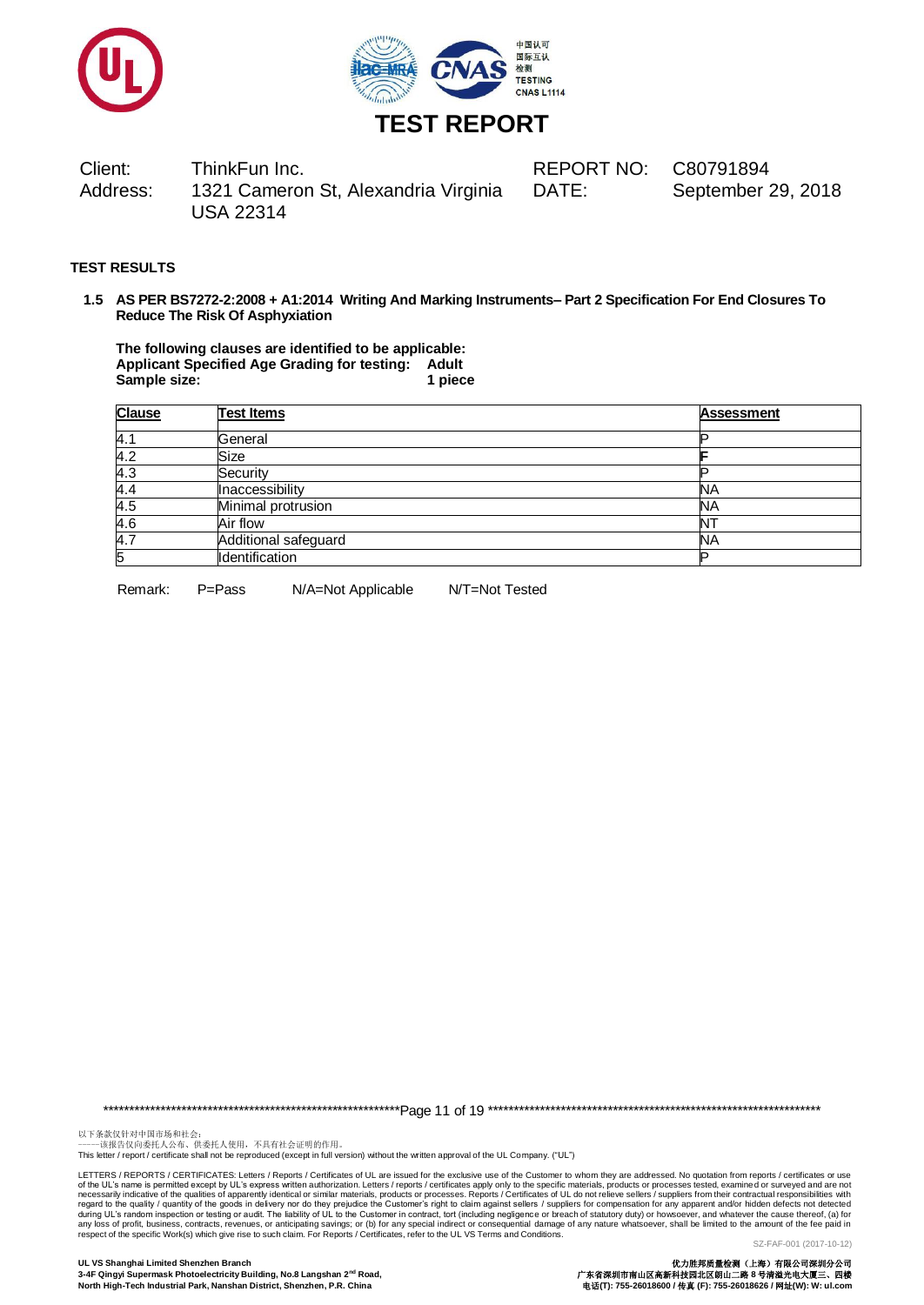



DATE: September 29, 2018

# **TEST RESULTS**

**1.5 AS PER BS7272-2:2008 + A1:2014 Writing And Marking Instruments– Part 2 Specification For End Closures To Reduce The Risk Of Asphyxiation**

**The following clauses are identified to be applicable: Applicant Specified Age Grading for testing: Adult** Sample size: 1 **piece** 1 **piece** 

| <b>Clause</b> | <b>Test Items</b>    | <b>Assessment</b> |
|---------------|----------------------|-------------------|
| 4.1           | General              |                   |
| 4.2           | Size                 |                   |
| 4.3           | Security             |                   |
| 4.4           | Inaccessibility      | <b>NA</b>         |
| 4.5           | Minimal protrusion   | <b>NA</b>         |
| 4.6           | Air flow             |                   |
| 4.7           | Additional safeguard | <b>NA</b>         |
| 5             | Identification       |                   |

Remark: P=Pass N/A=Not Applicable N/T=Not Tested

\*\*\*\*\*\*\*\*\*\*\*\*\*\*\*\*\*\*\*\*\*\*\*\*\*\*\*\*\*\*\*\*\*\*\*\*\*\*\*\*\*\*\*\*\*\*\*\*\*\*\*\*\*\*\*\*\*Page 11 of 19 \*\*\*\*\*\*\*\*\*\*\*\*\*\*\*\*\*\*\*\*\*\*\*\*\*\*\*\*\*\*\*\*\*\*\*\*\*\*\*\*\*\*\*\*\*\*\*\*\*\*\*\*\*\*\*\*\*\*\*\*\*\*\*\*

以下条款仅针对中国市场和社会:<br>-----该报告仅向委托人公布、供委托人使用,不具有社会证明的作用。

This letter / report / certificate shall not be reproduced (except in full version) without the written approval of the UL Company. ("UL")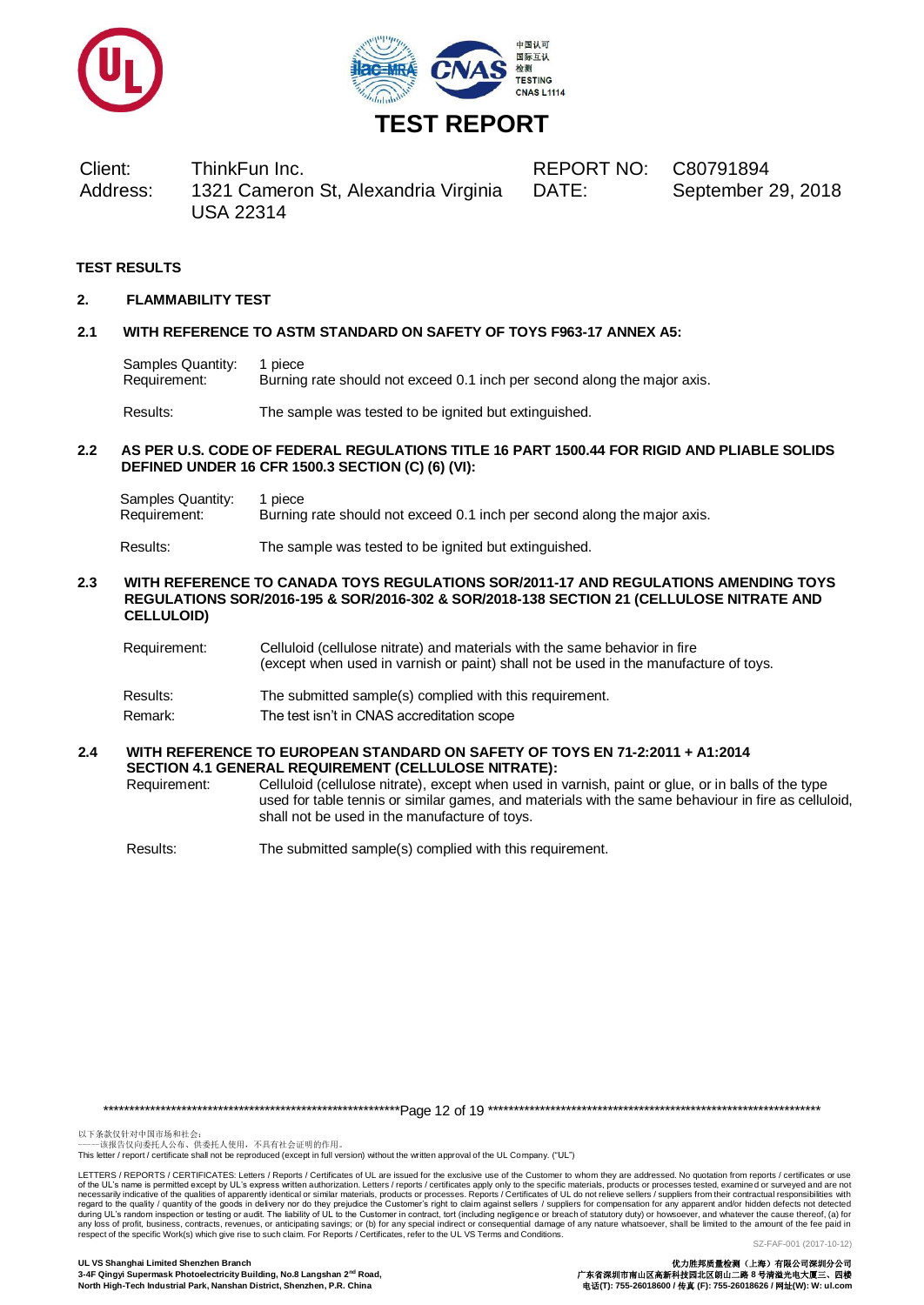



DATE: September 29, 2018

# **TEST RESULTS**

#### **2. FLAMMABILITY TEST**

#### **2.1 WITH REFERENCE TO ASTM STANDARD ON SAFETY OF TOYS F963-17 ANNEX A5:**

Samples Quantity: 1 piece Requirement: Burning rate should not exceed 0.1 inch per second along the major axis.

Results: The sample was tested to be ignited but extinguished.

### **2.2 AS PER U.S. CODE OF FEDERAL REGULATIONS TITLE 16 PART 1500.44 FOR RIGID AND PLIABLE SOLIDS DEFINED UNDER 16 CFR 1500.3 SECTION (C) (6) (VI):**

| Samples Quantity: | 1 piece                                                                  |
|-------------------|--------------------------------------------------------------------------|
| Requirement:      | Burning rate should not exceed 0.1 inch per second along the major axis. |

Results: The sample was tested to be ignited but extinguished.

#### **2.3 WITH REFERENCE TO CANADA TOYS REGULATIONS SOR/2011-17 AND REGULATIONS AMENDING TOYS REGULATIONS SOR/2016-195 & SOR/2016-302 & SOR/2018-138 SECTION 21 (CELLULOSE NITRATE AND CELLULOID)**

| Requirement: | Celluloid (cellulose nitrate) and materials with the same behavior in fire<br>(except when used in varnish or paint) shall not be used in the manufacture of toys. |
|--------------|--------------------------------------------------------------------------------------------------------------------------------------------------------------------|
| Results:     | The submitted sample(s) complied with this requirement.                                                                                                            |
| Remark:      | The test isn't in CNAS accreditation scope                                                                                                                         |

#### **2.4 WITH REFERENCE TO EUROPEAN STANDARD ON SAFETY OF TOYS EN 71-2:2011 + A1:2014 SECTION 4.1 GENERAL REQUIREMENT (CELLULOSE NITRATE):**

Requirement: Celluloid (cellulose nitrate), except when used in varnish, paint or glue, or in balls of the type used for table tennis or similar games, and materials with the same behaviour in fire as celluloid, shall not be used in the manufacture of toys.

Results: The submitted sample(s) complied with this requirement.

\*\*\*\*\*\*\*\*\*\*\*\*\*\*\*\*\*\*\*\*\*\*\*\*\*\*\*\*\*\*\*\*\*\*\*\*\*\*\*\*\*\*\*\*\*\*\*\*\*\*\*\*\*\*\*\*\*Page 12 of 19 \*\*\*\*\*\*\*\*\*\*\*\*\*\*\*\*\*\*\*\*\*\*\*\*\*\*\*\*\*\*\*\*\*\*\*\*\*\*\*\*\*\*\*\*\*\*\*\*\*\*\*\*\*\*\*\*\*\*\*\*\*\*\*\*

以下条款仅针对中国市场和社会:<br>-----该报告仅向委托人公布、供委托人使用,不具有社会证明的作用。

This letter / report / certificate shall not be reproduced (except in full version) without the written approval of the UL Company. ("UL")

LETTERS / REPORTS / CERTIFICATES: Letters / Reports / Certificates of UL are issued for the exclusive use of the Customer to whom they are addressed. No quotation from reports / certificates or use of the UL's name is permitted except by UL's express written authorization. Letters / reports / certificates apply only to the specific materials, products or processes tested, examined or surveyed and are not necessarily indicative of the qualities of apparently identical or similar materials, products or processes. Reports / Certificates of UL do not relieve sellers / suppliers from their contractual responsibilities with resp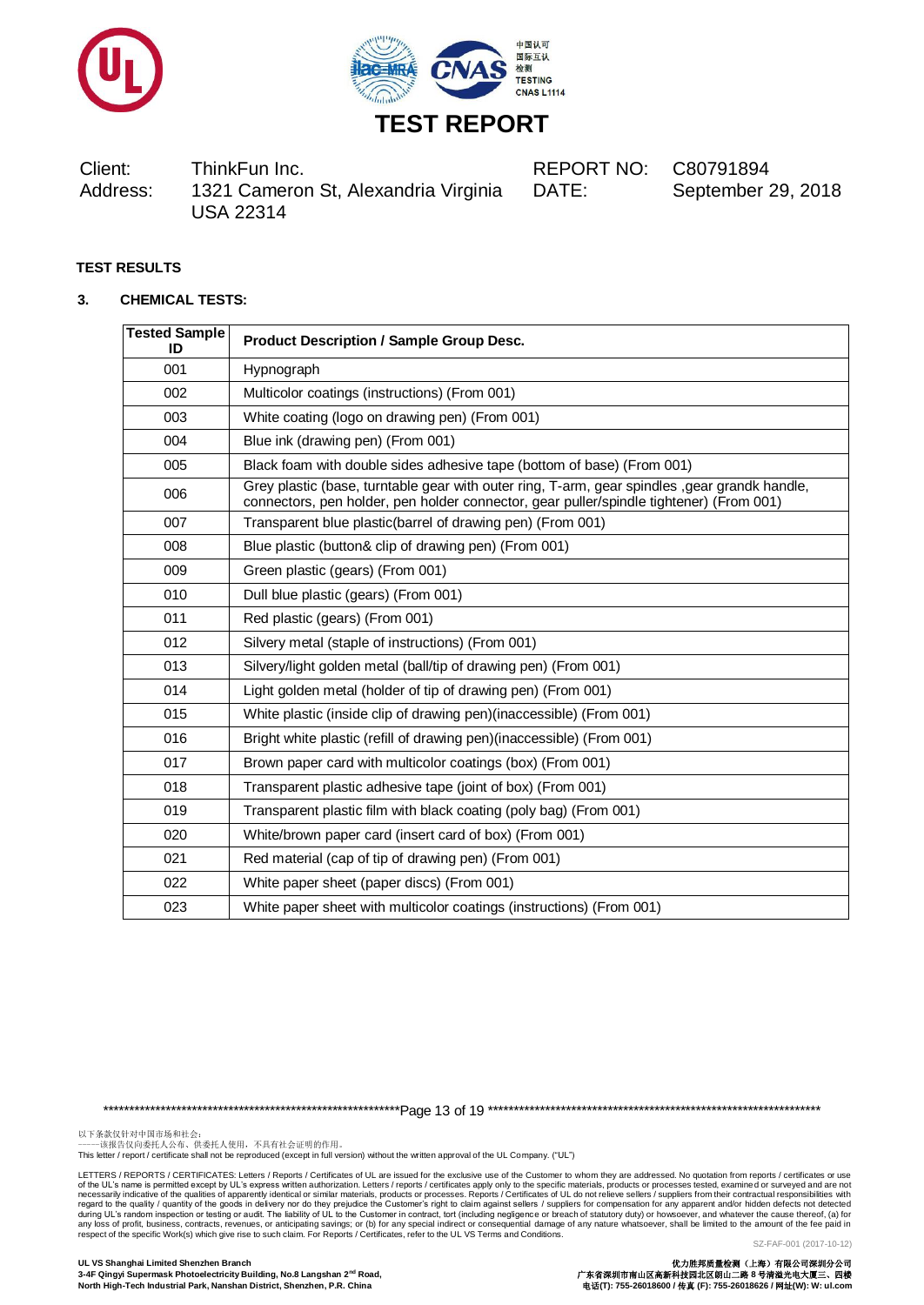



DATE: September 29, 2018

# **TEST RESULTS**

### **3. CHEMICAL TESTS:**

| <b>Tested Sample</b><br>ID | <b>Product Description / Sample Group Desc.</b>                                                                                                                                           |
|----------------------------|-------------------------------------------------------------------------------------------------------------------------------------------------------------------------------------------|
| 001                        | Hypnograph                                                                                                                                                                                |
| 002                        | Multicolor coatings (instructions) (From 001)                                                                                                                                             |
| 003                        | White coating (logo on drawing pen) (From 001)                                                                                                                                            |
| 004                        | Blue ink (drawing pen) (From 001)                                                                                                                                                         |
| 005                        | Black foam with double sides adhesive tape (bottom of base) (From 001)                                                                                                                    |
| 006                        | Grey plastic (base, turntable gear with outer ring, T-arm, gear spindles , gear grandk handle,<br>connectors, pen holder, pen holder connector, gear puller/spindle tightener) (From 001) |
| 007                        | Transparent blue plastic(barrel of drawing pen) (From 001)                                                                                                                                |
| 008                        | Blue plastic (button& clip of drawing pen) (From 001)                                                                                                                                     |
| 009                        | Green plastic (gears) (From 001)                                                                                                                                                          |
| 010                        | Dull blue plastic (gears) (From 001)                                                                                                                                                      |
| 011                        | Red plastic (gears) (From 001)                                                                                                                                                            |
| 012                        | Silvery metal (staple of instructions) (From 001)                                                                                                                                         |
| 013                        | Silvery/light golden metal (ball/tip of drawing pen) (From 001)                                                                                                                           |
| 014                        | Light golden metal (holder of tip of drawing pen) (From 001)                                                                                                                              |
| 015                        | White plastic (inside clip of drawing pen)(inaccessible) (From 001)                                                                                                                       |
| 016                        | Bright white plastic (refill of drawing pen)(inaccessible) (From 001)                                                                                                                     |
| 017                        | Brown paper card with multicolor coatings (box) (From 001)                                                                                                                                |
| 018                        | Transparent plastic adhesive tape (joint of box) (From 001)                                                                                                                               |
| 019                        | Transparent plastic film with black coating (poly bag) (From 001)                                                                                                                         |
| 020                        | White/brown paper card (insert card of box) (From 001)                                                                                                                                    |
| 021                        | Red material (cap of tip of drawing pen) (From 001)                                                                                                                                       |
| 022                        | White paper sheet (paper discs) (From 001)                                                                                                                                                |
| 023                        | White paper sheet with multicolor coatings (instructions) (From 001)                                                                                                                      |

\*\*\*\*\*\*\*\*\*\*\*\*\*\*\*\*\*\*\*\*\*\*\*\*\*\*\*\*\*\*\*\*\*\*\*\*\*\*\*\*\*\*\*\*\*\*\*\*\*\*\*\*\*\*\*\*\*Page 13 of 19 \*\*\*\*\*\*\*\*\*\*\*\*\*\*\*\*\*\*\*\*\*\*\*\*\*\*\*\*\*\*\*\*\*\*\*\*\*\*\*\*\*\*\*\*\*\*\*\*\*\*\*\*\*\*\*\*\*\*\*\*\*\*\*\*

以下条款仅针对中国市场和社会:<br>-----该报告仅向委托人公布、供委托人使用,不具有社会证明的作用。

This letter / report / certificate shall not be reproduced (except in full version) without the written approval of the UL Company. ("UL")

LETTERS / REPORTS / CERTIFICATES: Letters / Reports / Certificates of UL are issued for the exclusive use of the Customer to whom they are addressed. No quotation from reports / certificates or use of the UL's name is permitted except by UL's express written authorization. Letters / reports / certificates apply only to the specific materials, products or processes tested, examined or surveyed and are not respective o

**North High-Tech Industrial Park, Nanshan District, Shenzhen, P.R. China** 电话**(T): 755-26018600 /** 传真 **(F): 755-26018626 /** 网址**(W): W: ul.com**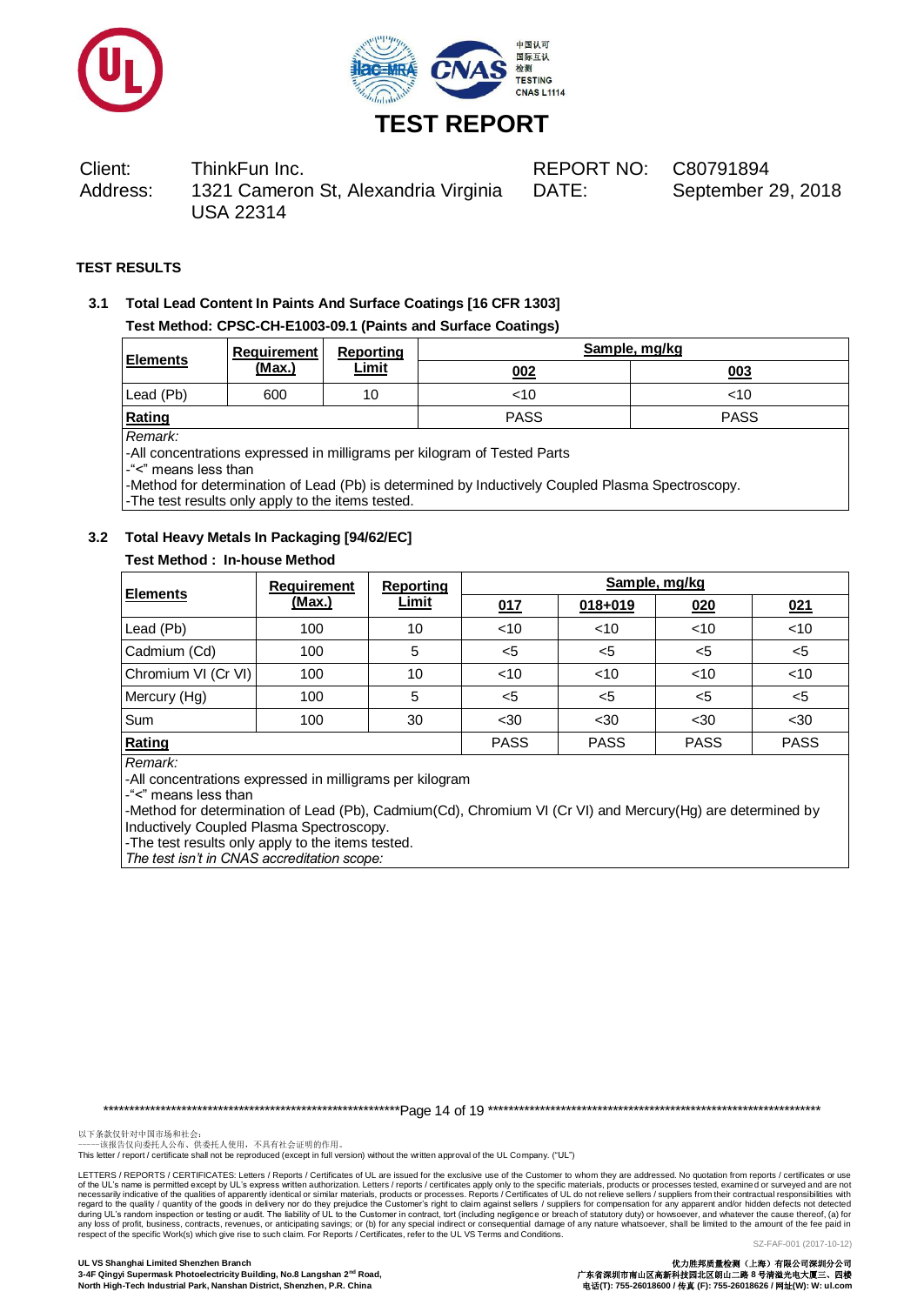



DATE: September 29, 2018

# **TEST RESULTS**

**3.1 Total Lead Content In Paints And Surface Coatings [16 CFR 1303] Test Method: CPSC-CH-E1003-09.1 (Paints and Surface Coatings)**

| <b>Elements</b> | Requirement | Reporting    | Sample, mg/kg |             |  |
|-----------------|-------------|--------------|---------------|-------------|--|
|                 | (Max.)      | <u>Limit</u> | 002           | 003         |  |
| Lead (Pb)       | 600         | 10           | <10           | <10         |  |
| Rating          |             |              | <b>PASS</b>   | <b>PASS</b> |  |

*Remark:*

-All concentrations expressed in milligrams per kilogram of Tested Parts

-"<" means less than

-Method for determination of Lead (Pb) is determined by Inductively Coupled Plasma Spectroscopy. -The test results only apply to the items tested.

# **3.2 Total Heavy Metals In Packaging [94/62/EC]**

# **Test Method : In-house Method**

| <b>Elements</b>     | <b>Requirement</b> | <b>Reporting</b> | Sample, mg/kg |             |             |             |  |
|---------------------|--------------------|------------------|---------------|-------------|-------------|-------------|--|
|                     | (Max.)             | <b>Limit</b>     | 017           | $018 + 019$ | 020         | 021         |  |
| Lead (Pb)           | 100                | 10               | <10           | $<$ 10      | < 10        | < 10        |  |
| Cadmium (Cd)        | 100                | 5                | $5$           | $<$ 5       | $5$         | $5$         |  |
| Chromium VI (Cr VI) | 100                | 10               | $<$ 10        | $<$ 10      | $<$ 10      | < 10        |  |
| Mercury (Hg)        | 100                | 5                | $5$           | $<$ 5       | $5$         | $5$         |  |
| <b>Sum</b>          | 100                | 30               | $30$          | $30$        | $30$        | $30$        |  |
| Rating              |                    |                  | <b>PASS</b>   | <b>PASS</b> | <b>PASS</b> | <b>PASS</b> |  |

*Remark:*

-All concentrations expressed in milligrams per kilogram

-"<" means less than

-Method for determination of Lead (Pb), Cadmium(Cd), Chromium VI (Cr VI) and Mercury(Hg) are determined by Inductively Coupled Plasma Spectroscopy.

-The test results only apply to the items tested.

*The test isn't in CNAS accreditation scope:*

\*\*\*\*\*\*\*\*\*\*\*\*\*\*\*\*\*\*\*\*\*\*\*\*\*\*\*\*\*\*\*\*\*\*\*\*\*\*\*\*\*\*\*\*\*\*\*\*\*\*\*\*\*\*\*\*\*Page 14 of 19 \*\*\*\*\*\*\*\*\*\*\*\*\*\*\*\*\*\*\*\*\*\*\*\*\*\*\*\*\*\*\*\*\*\*\*\*\*\*\*\*\*\*\*\*\*\*\*\*\*\*\*\*\*\*\*\*\*\*\*\*\*\*\*\*

以下条款仅针对中国市场和社会:<br>-----该报告仅向委托人公布、供委托人使用,不具有社会证明的作用。

This letter / report / certificate shall not be reproduced (except in full version) without the written approval of the UL Company. ("UL")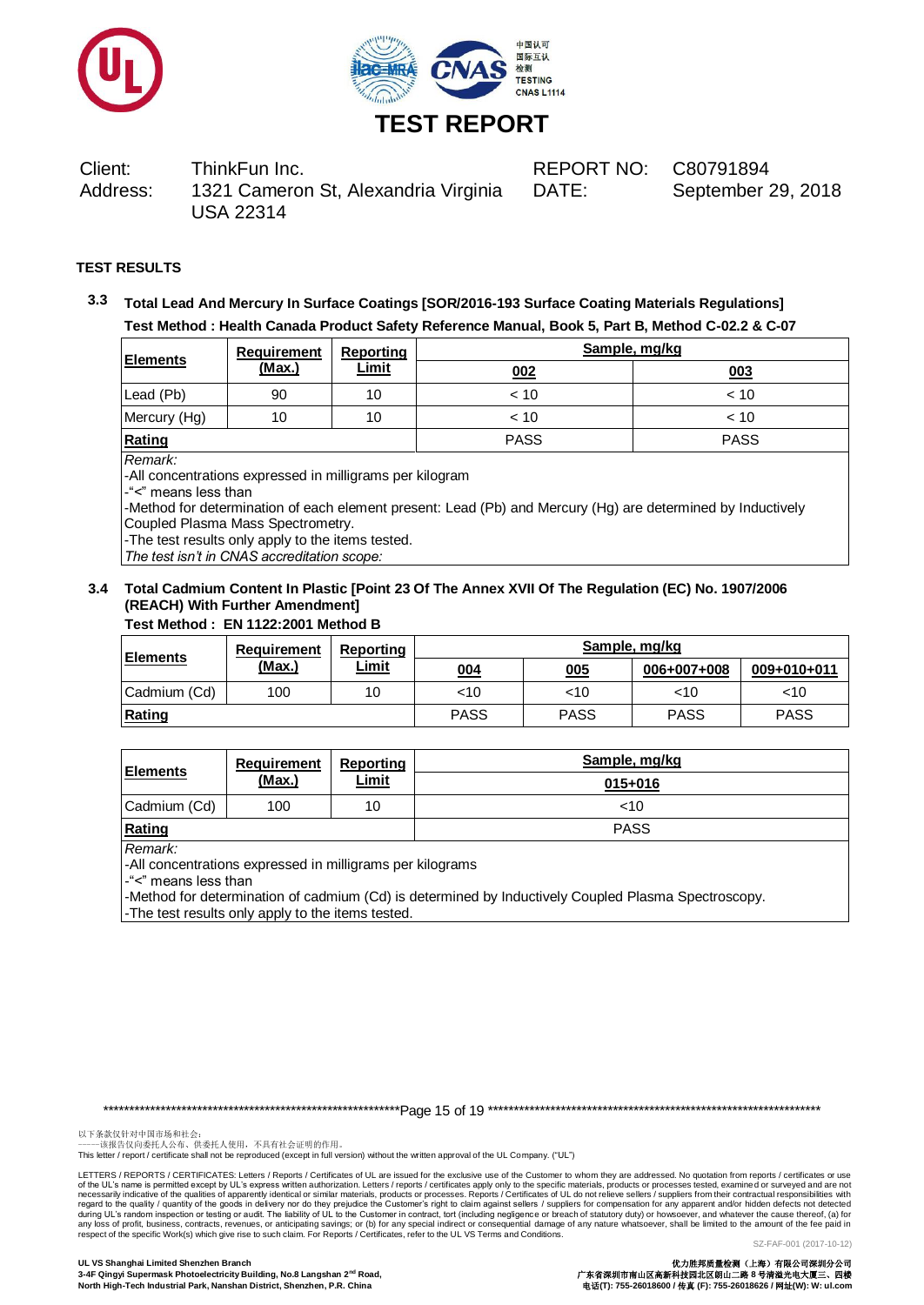



DATE: September 29, 2018

# **TEST RESULTS**

**3.3 Total Lead And Mercury In Surface Coatings [SOR/2016-193 Surface Coating Materials Regulations] Test Method : Health Canada Product Safety Reference Manual, Book 5, Part B, Method C-02.2 & C-07**

| <b>Elements</b> | <b>Requirement</b> | Reporting    | Sample, mg/kg |             |  |
|-----------------|--------------------|--------------|---------------|-------------|--|
|                 | (Max.)             | <b>Limit</b> | 002           | 003         |  |
| Lead (Pb)       | 90                 | 10           | < 10          | < 10        |  |
| Mercury (Hg)    | 10                 | 10           | < 10          | < 10        |  |
| Rating          |                    |              | <b>PASS</b>   | <b>PASS</b> |  |

#### *Remark:*

-All concentrations expressed in milligrams per kilogram

-"<" means less than

-Method for determination of each element present: Lead (Pb) and Mercury (Hg) are determined by Inductively Coupled Plasma Mass Spectrometry.

-The test results only apply to the items tested.

*The test isn't in CNAS accreditation scope:*

# **3.4 Total Cadmium Content In Plastic [Point 23 Of The Annex XVII Of The Regulation (EC) No. 1907/2006 (REACH) With Further Amendment]**

# **Test Method : EN 1122:2001 Method B**

| <b>Elements</b> | <b>Requirement</b> | Reporting    | Sample, mg/kg |             |             |             |  |
|-----------------|--------------------|--------------|---------------|-------------|-------------|-------------|--|
|                 | (Max.)             | <u>Limit</u> | 004           | 005         | 006+007+008 | 009+010+011 |  |
| Cadmium (Cd)    | 100                | 10           | <10           | ~10         | $<$ 10      | <10         |  |
| Rating          |                    |              | <b>PASS</b>   | <b>PASS</b> | <b>PASS</b> | <b>PASS</b> |  |

| <b>Elements</b> | <b>Requirement</b><br><u>(Max.)</u> | Reporting<br><u>Limit</u> | Sample, mg/kg<br>015+016 |
|-----------------|-------------------------------------|---------------------------|--------------------------|
| Cadmium (Cd)    | 100                                 | 10                        | <10                      |
| Rating          |                                     |                           | <b>PASS</b>              |

*Remark:*

-All concentrations expressed in milligrams per kilograms

-"<" means less than

-Method for determination of cadmium (Cd) is determined by Inductively Coupled Plasma Spectroscopy. -The test results only apply to the items tested.

以下条款仅针对中国市场和社会:<br>-----该报告仅向委托人公布、供委托人使用,不具有社会证明的作用。

This letter / report / certificate shall not be reproduced (except in full version) without the written approval of the UL Company. ("UL")

LETTERS / REPORTS / CERTIFICATES: Letters / Reports / Certificates of UL are issued for the exclusive use of the Customer to whom they are addressed. No quotation from reports / certificates or use<br>of the UL's name is perm of the UL's name is permitted except by UL's express written authorization. Letters / reports / certificates apply only to the specific materials, products or processes tested, examine d or surveyed and are not respecifica

\*\*\*\*\*\*\*\*\*\*\*\*\*\*\*\*\*\*\*\*\*\*\*\*\*\*\*\*\*\*\*\*\*\*\*\*\*\*\*\*\*\*\*\*\*\*\*\*\*\*\*\*\*\*\*\*\*Page 15 of 19 \*\*\*\*\*\*\*\*\*\*\*\*\*\*\*\*\*\*\*\*\*\*\*\*\*\*\*\*\*\*\*\*\*\*\*\*\*\*\*\*\*\*\*\*\*\*\*\*\*\*\*\*\*\*\*\*\*\*\*\*\*\*\*\*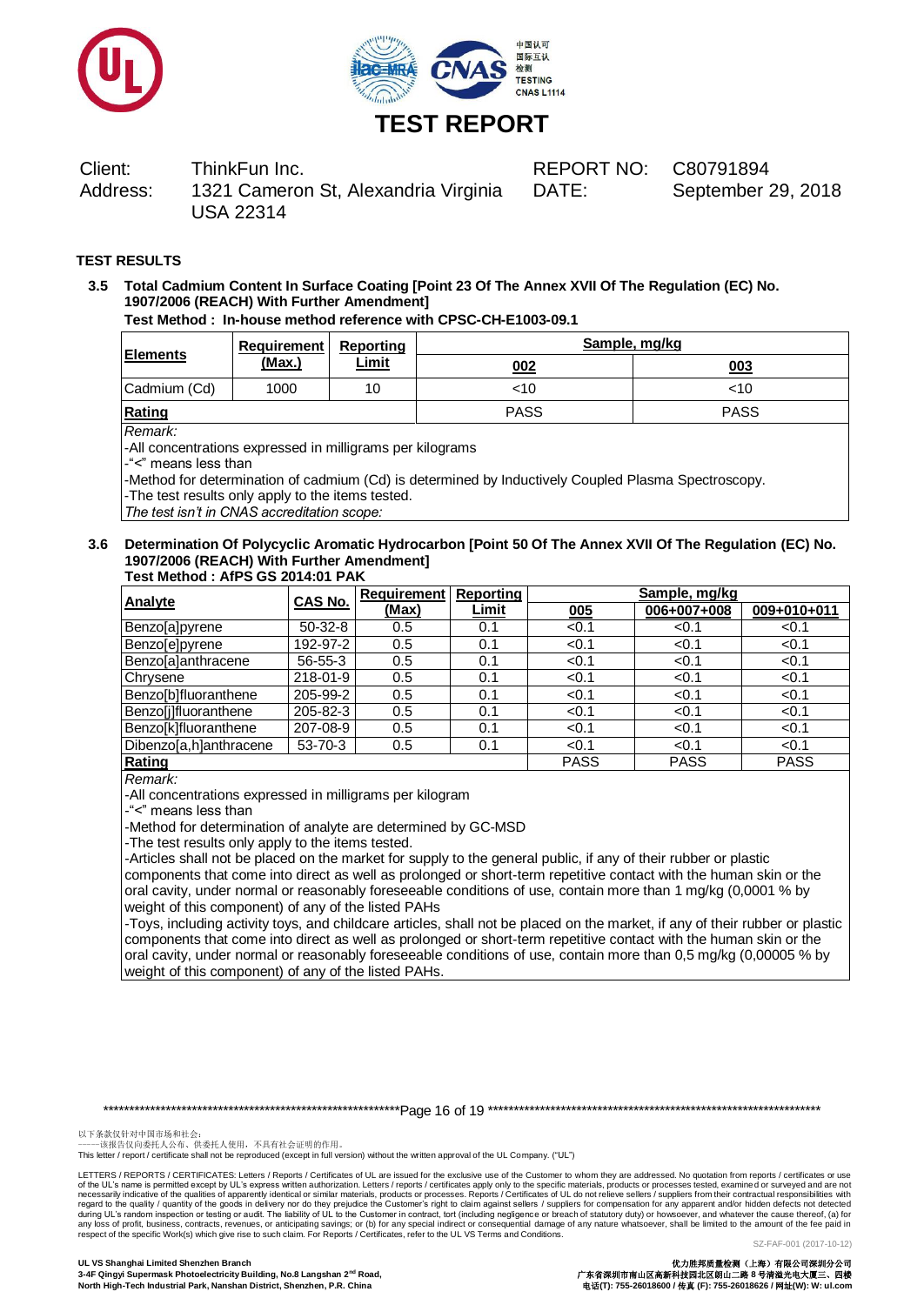



DATE: September 29, 2018

# **TEST RESULTS**

# **3.5 Total Cadmium Content In Surface Coating [Point 23 Of The Annex XVII Of The Regulation (EC) No. 1907/2006 (REACH) With Further Amendment]**

**Test Method : In-house method reference with CPSC-CH-E1003-09.1**

| <b>Elements</b> | Requirement   | <b>Reporting</b> | Sample, mg/kg |             |  |
|-----------------|---------------|------------------|---------------|-------------|--|
|                 | <u>(Max.)</u> | <u>Limit</u>     | 002           | 003         |  |
| Cadmium (Cd)    | 1000          | 10               | <10           | <10         |  |
| Rating          |               |                  | <b>PASS</b>   | <b>PASS</b> |  |

*Remark:*

-All concentrations expressed in milligrams per kilograms

-"<" means less than

-Method for determination of cadmium (Cd) is determined by Inductively Coupled Plasma Spectroscopy.

-The test results only apply to the items tested.

*The test isn't in CNAS accreditation scope:*

#### **3.6 Determination Of Polycyclic Aromatic Hydrocarbon [Point 50 Of The Annex XVII Of The Regulation (EC) No. 1907/2006 (REACH) With Further Amendment] Test Method : AfPS GS 2014:01 PAK**

| Analyte                | CAS No.        | <b>Requirement</b> | Reporting    | Sample, mg/kg |             |             |
|------------------------|----------------|--------------------|--------------|---------------|-------------|-------------|
|                        |                | (Max)              | <b>Limit</b> | 005           | 006+007+008 | 009+010+011 |
| Benzo[a]pyrene         | $50-32-8$      | 0.5                | 0.1          | < 0.1         | < 0.1       | < 0.1       |
| Benzo[e]pyrene         | 192-97-2       | 0.5                | 0.1          | < 0.1         | < 0.1       | < 0.1       |
| Benzo[a]anthracene     | $56 - 55 - 3$  | 0.5                | 0.1          | < 0.1         | < 0.1       | < 0.1       |
| Chrysene               | 218-01-9       | 0.5                | 0.1          | < 0.1         | < 0.1       | < 0.1       |
| Benzo[b]fluoranthene   | 205-99-2       | 0.5                | 0.1          | < 0.1         | < 0.1       | < 0.1       |
| Benzo[j]fluoranthene   | $205 - 82 - 3$ | 0.5                | 0.1          | < 0.1         | < 0.1       | < 0.1       |
| Benzo[k]fluoranthene   | 207-08-9       | 0.5                | 0.1          | < 0.1         | < 0.1       | < 0.1       |
| Dibenzo[a,h]anthracene | 53-70-3        | 0.5                | 0.1          | < 0.1         | < 0.1       | < 0.1       |
| Rating                 |                |                    |              | <b>PASS</b>   | <b>PASS</b> | <b>PASS</b> |

*Remark:*

-All concentrations expressed in milligrams per kilogram

-"<" means less than

-Method for determination of analyte are determined by GC-MSD

-The test results only apply to the items tested.

-Articles shall not be placed on the market for supply to the general public, if any of their rubber or plastic components that come into direct as well as prolonged or short-term repetitive contact with the human skin or the oral cavity, under normal or reasonably foreseeable conditions of use, contain more than 1 mg/kg (0,0001 % by weight of this component) of any of the listed PAHs

-Toys, including activity toys, and childcare articles, shall not be placed on the market, if any of their rubber or plastic components that come into direct as well as prolonged or short-term repetitive contact with the human skin or the oral cavity, under normal or reasonably foreseeable conditions of use, contain more than 0,5 mg/kg (0,00005 % by weight of this component) of any of the listed PAHs.

\*\*\*\*\*\*\*\*\*\*\*\*\*\*\*\*\*\*\*\*\*\*\*\*\*\*\*\*\*\*\*\*\*\*\*\*\*\*\*\*\*\*\*\*\*\*\*\*\*\*\*\*\*\*\*\*\*Page 16 of 19 \*\*\*\*\*\*\*\*\*\*\*\*\*\*\*\*\*\*\*\*\*\*\*\*\*\*\*\*\*\*\*\*\*\*\*\*\*\*\*\*\*\*\*\*\*\*\*\*\*\*\*\*\*\*\*\*\*\*\*\*\*\*\*\*

以下条款仅针对中国市场和社会:<br>-----该报告仅向委托人公布、供委托人使用,不具有社会证明的作用。

This letter / report / certificate shall not be reproduced (except in full version) without the written approval of the UL Company. ("UL")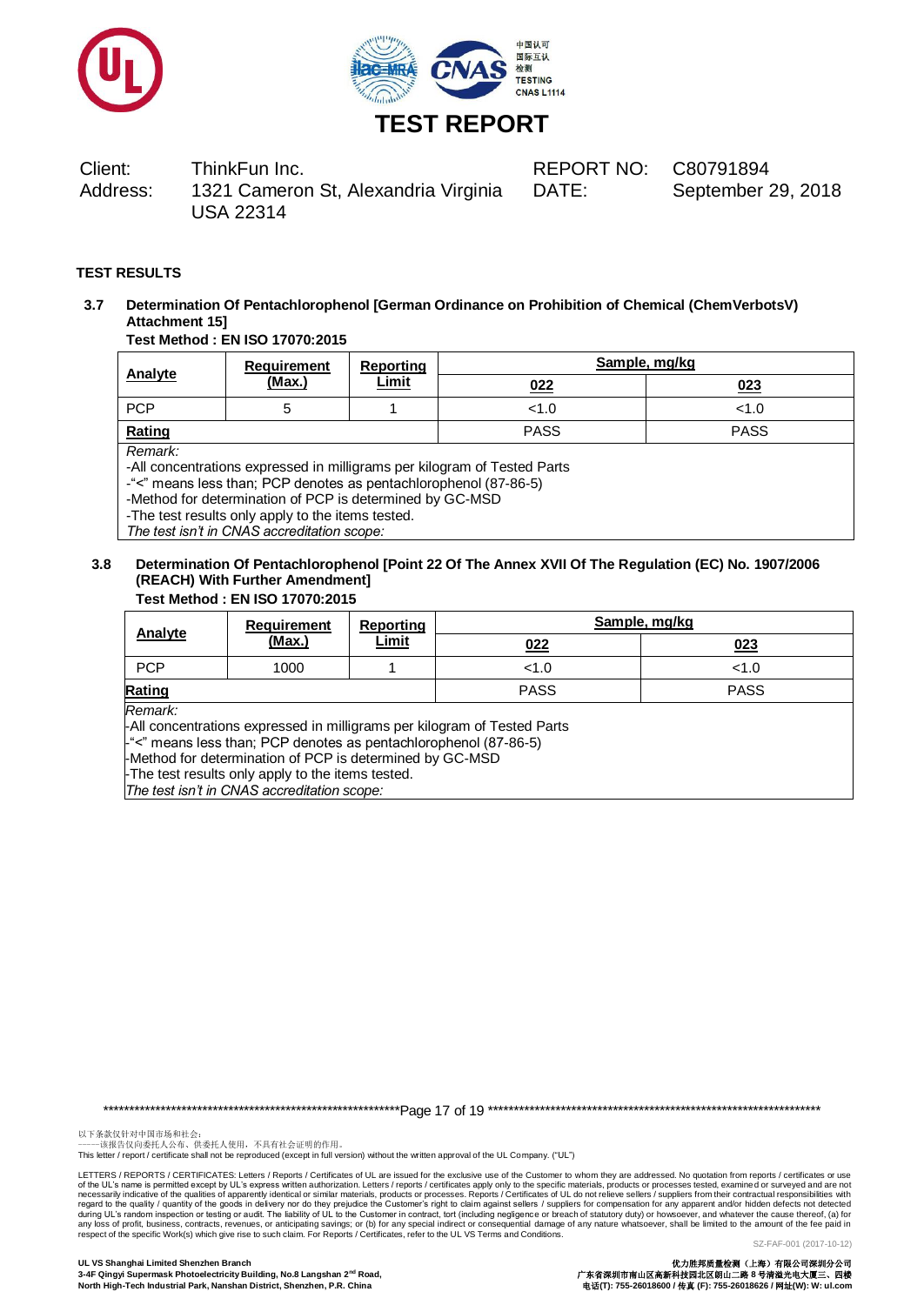



DATE: September 29, 2018

# **TEST RESULTS**

**3.7 Determination Of Pentachlorophenol [German Ordinance on Prohibition of Chemical (ChemVerbotsV) Attachment 15]**

# **Test Method : EN ISO 17070:2015**

|                | Requirement | Reporting    | Sample, mg/kg |             |  |
|----------------|-------------|--------------|---------------|-------------|--|
| <b>Analyte</b> | (Max.)      | <b>Limit</b> | 022           | 023         |  |
| <b>PCP</b>     |             |              | < 1.0         | < 1.0       |  |
| Rating         |             |              | <b>PASS</b>   | <b>PASS</b> |  |
| Remark:        |             |              |               |             |  |

-All concentrations expressed in milligrams per kilogram of Tested Parts

-"<" means less than; PCP denotes as pentachlorophenol (87-86-5)

-Method for determination of PCP is determined by GC-MSD

-The test results only apply to the items tested.

*The test isn't in CNAS accreditation scope:*

# **3.8 Determination Of Pentachlorophenol [Point 22 Of The Annex XVII Of The Regulation (EC) No. 1907/2006 (REACH) With Further Amendment]**

|                                                                                                                                                            | Requirement | Reporting    | Sample, mg/kg |             |  |  |
|------------------------------------------------------------------------------------------------------------------------------------------------------------|-------------|--------------|---------------|-------------|--|--|
| Analyte                                                                                                                                                    | (Max.)      | <b>Limit</b> | 022           | 023         |  |  |
| <b>PCP</b>                                                                                                                                                 | 1000        |              | < 1.0         | < 1.0       |  |  |
| Rating                                                                                                                                                     |             |              | <b>PASS</b>   | <b>PASS</b> |  |  |
| Remark:<br>-All concentrations expressed in milligrams per kilogram of Tested Parts<br>$-$ "<" means less than; PCP denotes as pentachlorophenol (87-86-5) |             |              |               |             |  |  |

-Method for determination of PCP is determined by GC-MSD -The test results only apply to the items tested.

*The test isn't in CNAS accreditation scope:*

\*\*\*\*\*\*\*\*\*\*\*\*\*\*\*\*\*\*\*\*\*\*\*\*\*\*\*\*\*\*\*\*\*\*\*\*\*\*\*\*\*\*\*\*\*\*\*\*\*\*\*\*\*\*\*\*\*Page 17 of 19 \*\*\*\*\*\*\*\*\*\*\*\*\*\*\*\*\*\*\*\*\*\*\*\*\*\*\*\*\*\*\*\*\*\*\*\*\*\*\*\*\*\*\*\*\*\*\*\*\*\*\*\*\*\*\*\*\*\*\*\*\*\*\*\*

以下条款仅针对中国市场和社会:<br>-----该报告仅向委托人公布、供委托人使用,不具有社会证明的作用。

This letter / report / certificate shall not be reproduced (except in full version) without the written approval of the UL Company. ("UL")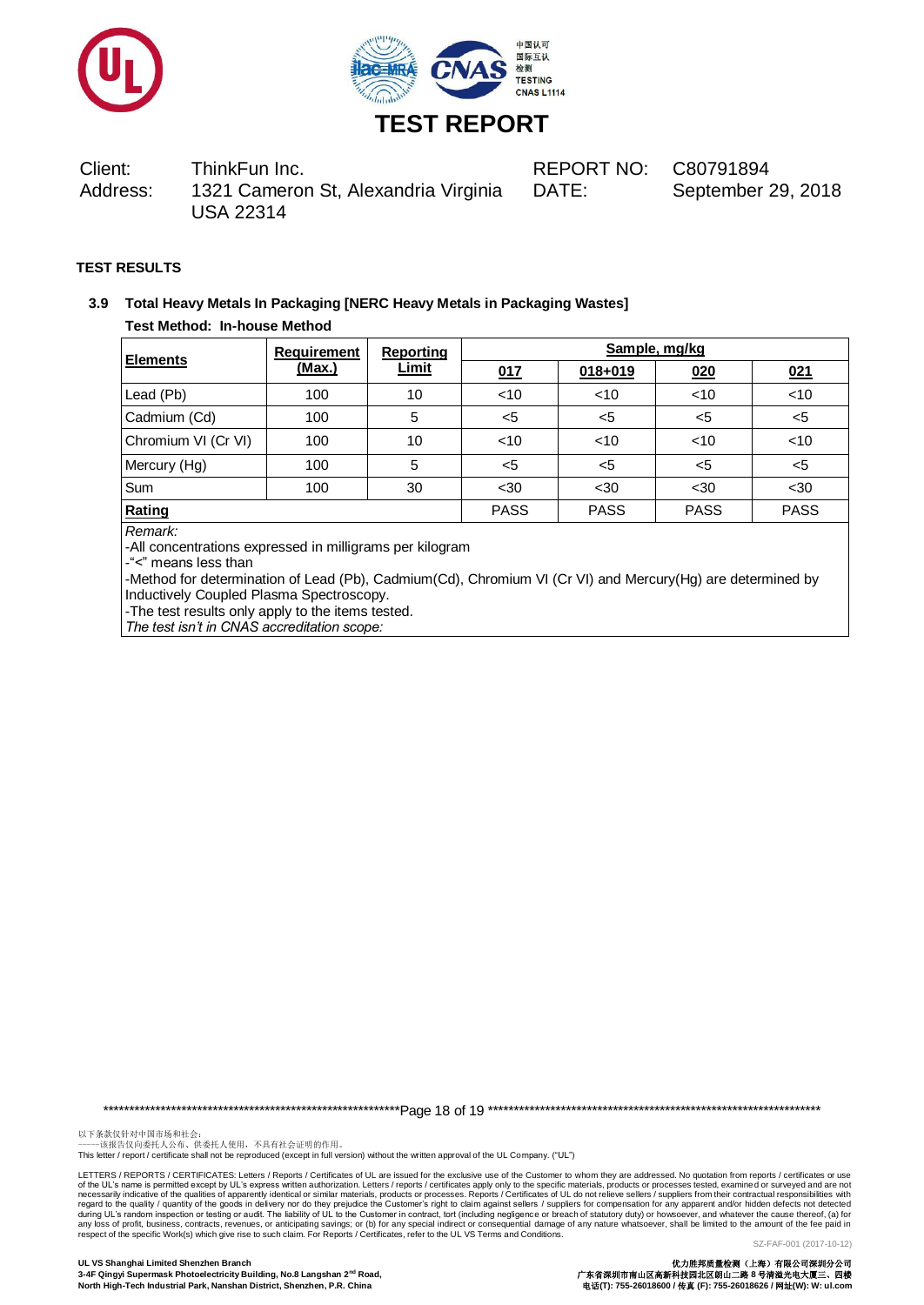



DATE: September 29, 2018

# **TEST RESULTS**

# **3.9 Total Heavy Metals In Packaging [NERC Heavy Metals in Packaging Wastes] Test Method: In-house Method**

| Elements               | <b>Requirement</b><br>(Max.) | <b>Reporting</b><br><u>Limit</u> | Sample, mg/kg |             |             |             |
|------------------------|------------------------------|----------------------------------|---------------|-------------|-------------|-------------|
|                        |                              |                                  | 017           | $018 + 019$ | 020         | 021         |
| Lead (Pb)              | 100                          | 10                               | <10           | < 10        | $<$ 10      | < 10        |
| Cadmium (Cd)           | 100                          | 5                                | $5$           | $5$         | $5$         | $5$         |
| Chromium VI (Cr VI)    | 100                          | 10                               | $<$ 10        | $<$ 10      | $<$ 10      | < 10        |
| Mercury (Hg)           | 100                          | 5                                | $5$           | $<$ 5       | $5$         | $5$         |
| Sum                    | 100                          | 30                               | $30$          | $30$        | $30$        | $30$        |
| Rating<br>$\mathbf{r}$ |                              |                                  | <b>PASS</b>   | <b>PASS</b> | <b>PASS</b> | <b>PASS</b> |

*Remark:*

-All concentrations expressed in milligrams per kilogram

-"<" means less than

-Method for determination of Lead (Pb), Cadmium(Cd), Chromium VI (Cr VI) and Mercury(Hg) are determined by Inductively Coupled Plasma Spectroscopy.

-The test results only apply to the items tested.

*The test isn't in CNAS accreditation scope:*

\*\*\*\*\*\*\*\*\*\*\*\*\*\*\*\*\*\*\*\*\*\*\*\*\*\*\*\*\*\*\*\*\*\*\*\*\*\*\*\*\*\*\*\*\*\*\*\*\*\*\*\*\*\*\*\*\*Page 18 of 19 \*\*\*\*\*\*\*\*\*\*\*\*\*\*\*\*\*\*\*\*\*\*\*\*\*\*\*\*\*\*\*\*\*\*\*\*\*\*\*\*\*\*\*\*\*\*\*\*\*\*\*\*\*\*\*\*\*\*\*\*\*\*\*\*

以下条款仅针对中国市场和社会:<br>-----该报告仅向委托人公布、供委托人使用,不具有社会证明的作用。

This letter / report / certificate shall not be reproduced (except in full version) without the written approval of the UL Company. ("UL")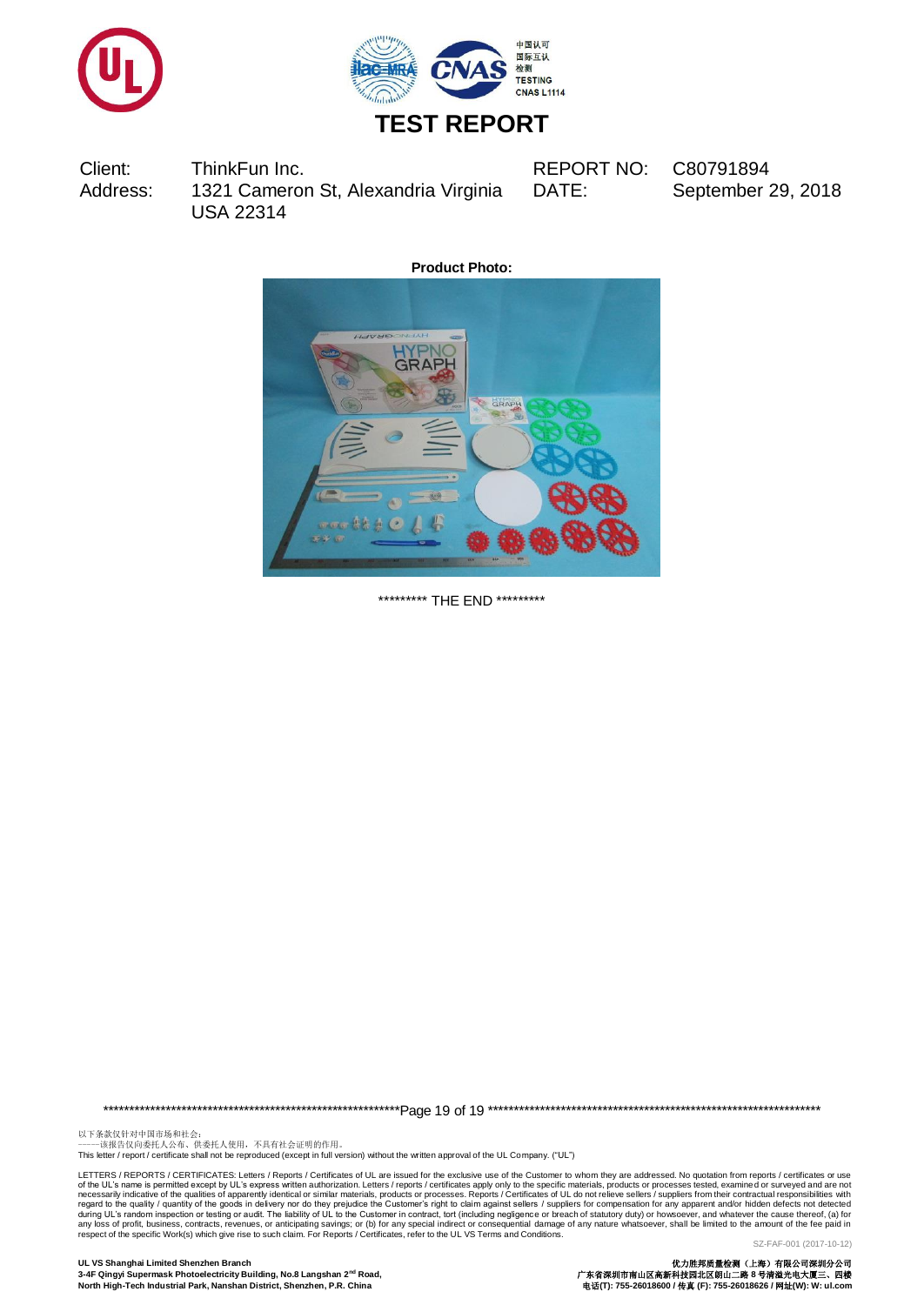



DATE: September 29, 2018

**Product Photo:**



\*\*\*\*\*\*\*\*\*\* THE END \*\*\*\*\*\*\*\*\*

\*\*\*\*\*\*\*\*\*\*\*\*\*\*\*\*\*\*\*\*\*\*\*\*\*\*\*\*\*\*\*\*\*\*\*\*\*\*\*\*\*\*\*\*\*\*\*\*\*\*\*\*\*\*\*\*\*Page 19 of 19 \*\*\*\*\*\*\*\*\*\*\*\*\*\*\*\*\*\*\*\*\*\*\*\*\*\*\*\*\*\*\*\*\*\*\*\*\*\*\*\*\*\*\*\*\*\*\*\*\*\*\*\*\*\*\*\*\*\*\*\*\*\*\*\*

以下条款仅针对中国市场和社会:<br>-----该报告仅向委托人公布、供委托人使用,不具有社会证明的作用。

This letter / report / certificate shall not be reproduced (except in full version) without the written approval of the UL Company. ("UL")